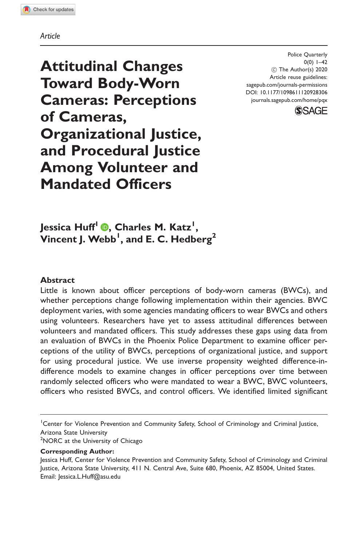#### Article

Attitudinal Changes Toward Body-Worn Cameras: Perceptions of Cameras, Organizational Justice, and Procedural Justice Among Volunteer and Mandated Officers

Police Quarterly  $0(0)$  1–42 ! The Author(s) 2020 Article reuse guidelines: [sagepub.com/journals-permissions](http://us.sagepub.com/en-us/journals-permissions) [DOI: 10.1177/1098611120928306](http://dx.doi.org/10.1177/1098611120928306) <journals.sagepub.com/home/pqx>



Jessica Huff1 [,](https://orcid.org/0000-0002-8123-1470) Charles M. Katz1 ,  $\mathsf{V}$ incent J. Webb $^{\mathsf{l}}$ , and E. C. Hedberg $^{\mathsf{2}}$ 

#### Abstract

Little is known about officer perceptions of body-worn cameras (BWCs), and whether perceptions change following implementation within their agencies. BWC deployment varies, with some agencies mandating officers to wear BWCs and others using volunteers. Researchers have yet to assess attitudinal differences between volunteers and mandated officers. This study addresses these gaps using data from an evaluation of BWCs in the Phoenix Police Department to examine officer perceptions of the utility of BWCs, perceptions of organizational justice, and support for using procedural justice. We use inverse propensity weighted difference-indifference models to examine changes in officer perceptions over time between randomly selected officers who were mandated to wear a BWC, BWC volunteers, officers who resisted BWCs, and control officers. We identified limited significant

<sup>1</sup> Center for Violence Prevention and Community Safety, School of Criminology and Criminal Justice, Arizona State University

<sup>2</sup>NORC at the University of Chicago

Corresponding Author:

Jessica Huff, Center for Violence Prevention and Community Safety, School of Criminology and Criminal Justice, Arizona State University, 411 N. Central Ave, Suite 680, Phoenix, AZ 85004, United States. Email: [Jessica.L.Huff@asu.edu](mailto:Jessica.L.Huff@asu.edu)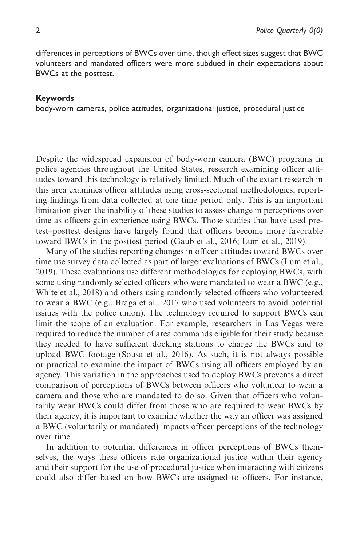differences in perceptions of BWCs over time, though effect sizes suggest that BWC volunteers and mandated officers were more subdued in their expectations about BWCs at the posttest.

#### Keywords

body-worn cameras, police attitudes, organizational justice, procedural justice

Despite the widespread expansion of body-worn camera (BWC) programs in police agencies throughout the United States, research examining officer attitudes toward this technology is relatively limited. Much of the extant research in this area examines officer attitudes using cross-sectional methodologies, reporting findings from data collected at one time period only. This is an important limitation given the inability of these studies to assess change in perceptions over time as officers gain experience using BWCs. Those studies that have used pretest–posttest designs have largely found that officers become more favorable toward BWCs in the posttest period (Gaub et al., 2016; Lum et al., 2019).

Many of the studies reporting changes in officer attitudes toward BWCs over time use survey data collected as part of larger evaluations of BWCs (Lum et al., 2019). These evaluations use different methodologies for deploying BWCs, with some using randomly selected officers who were mandated to wear a BWC (e.g., White et al., 2018) and others using randomly selected officers who volunteered to wear a BWC (e.g., Braga et al., 2017 who used volunteers to avoid potential issiues with the police union). The technology required to support BWCs can limit the scope of an evaluation. For example, researchers in Las Vegas were required to reduce the number of area commands eligible for their study because they needed to have sufficient docking stations to charge the BWCs and to upload BWC footage (Sousa et al., 2016). As such, it is not always possible or practical to examine the impact of BWCs using all officers employed by an agency. This variation in the approaches used to deploy BWCs prevents a direct comparison of perceptions of BWCs between officers who volunteer to wear a camera and those who are mandated to do so. Given that officers who voluntarily wear BWCs could differ from those who are required to wear BWCs by their agency, it is important to examine whether the way an officer was assigned a BWC (voluntarily or mandated) impacts officer perceptions of the technology over time.

In addition to potential differences in officer perceptions of BWCs themselves, the ways these officers rate organizational justice within their agency and their support for the use of procedural justice when interacting with citizens could also differ based on how BWCs are assigned to officers. For instance,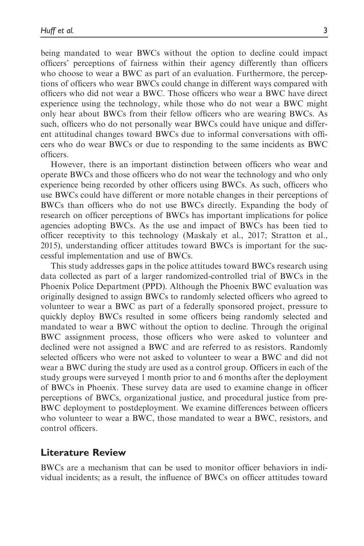being mandated to wear BWCs without the option to decline could impact officers' perceptions of fairness within their agency differently than officers who choose to wear a BWC as part of an evaluation. Furthermore, the perceptions of officers who wear BWCs could change in different ways compared with officers who did not wear a BWC. Those officers who wear a BWC have direct experience using the technology, while those who do not wear a BWC might only hear about BWCs from their fellow officers who are wearing BWCs. As such, officers who do not personally wear BWCs could have unique and different attitudinal changes toward BWCs due to informal conversations with officers who do wear BWCs or due to responding to the same incidents as BWC officers.

However, there is an important distinction between officers who wear and operate BWCs and those officers who do not wear the technology and who only experience being recorded by other officers using BWCs. As such, officers who use BWCs could have different or more notable changes in their perceptions of BWCs than officers who do not use BWCs directly. Expanding the body of research on officer perceptions of BWCs has important implications for police agencies adopting BWCs. As the use and impact of BWCs has been tied to officer receptivity to this technology (Maskaly et al., 2017; Stratton et al., 2015), understanding officer attitudes toward BWCs is important for the successful implementation and use of BWCs.

This study addresses gaps in the police attitudes toward BWCs research using data collected as part of a larger randomized-controlled trial of BWCs in the Phoenix Police Department (PPD). Although the Phoenix BWC evaluation was originally designed to assign BWCs to randomly selected officers who agreed to volunteer to wear a BWC as part of a federally sponsored project, pressure to quickly deploy BWCs resulted in some officers being randomly selected and mandated to wear a BWC without the option to decline. Through the original BWC assignment process, those officers who were asked to volunteer and declined were not assigned a BWC and are referred to as resistors. Randomly selected officers who were not asked to volunteer to wear a BWC and did not wear a BWC during the study are used as a control group. Officers in each of the study groups were surveyed 1 month prior to and 6 months after the deployment of BWCs in Phoenix. These survey data are used to examine change in officer perceptions of BWCs, organizational justice, and procedural justice from pre-BWC deployment to postdeployment. We examine differences between officers who volunteer to wear a BWC, those mandated to wear a BWC, resistors, and control officers.

#### Literature Review

BWCs are a mechanism that can be used to monitor officer behaviors in individual incidents; as a result, the influence of BWCs on officer attitudes toward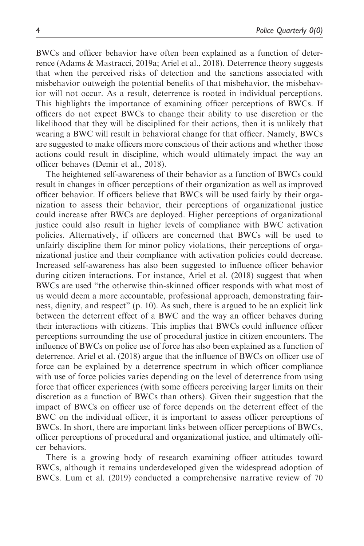BWCs and officer behavior have often been explained as a function of deterrence (Adams & Mastracci, 2019a; Ariel et al., 2018). Deterrence theory suggests that when the perceived risks of detection and the sanctions associated with misbehavior outweigh the potential benefits of that misbehavior, the misbehavior will not occur. As a result, deterrence is rooted in individual perceptions. This highlights the importance of examining officer perceptions of BWCs. If officers do not expect BWCs to change their ability to use discretion or the likelihood that they will be disciplined for their actions, then it is unlikely that wearing a BWC will result in behavioral change for that officer. Namely, BWCs are suggested to make officers more conscious of their actions and whether those actions could result in discipline, which would ultimately impact the way an officer behaves (Demir et al., 2018).

The heightened self-awareness of their behavior as a function of BWCs could result in changes in officer perceptions of their organization as well as improved officer behavior. If officers believe that BWCs will be used fairly by their organization to assess their behavior, their perceptions of organizational justice could increase after BWCs are deployed. Higher perceptions of organizational justice could also result in higher levels of compliance with BWC activation policies. Alternatively, if officers are concerned that BWCs will be used to unfairly discipline them for minor policy violations, their perceptions of organizational justice and their compliance with activation policies could decrease. Increased self-awareness has also been suggested to influence officer behavior during citizen interactions. For instance, Ariel et al. (2018) suggest that when BWCs are used "the otherwise thin-skinned officer responds with what most of us would deem a more accountable, professional approach, demonstrating fairness, dignity, and respect" (p. 10). As such, there is argued to be an explicit link between the deterrent effect of a BWC and the way an officer behaves during their interactions with citizens. This implies that BWCs could influence officer perceptions surrounding the use of procedural justice in citizen encounters. The influence of BWCs on police use of force has also been explained as a function of deterrence. Ariel et al. (2018) argue that the influence of BWCs on officer use of force can be explained by a deterrence spectrum in which officer compliance with use of force policies varies depending on the level of deterrence from using force that officer experiences (with some officers perceiving larger limits on their discretion as a function of BWCs than others). Given their suggestion that the impact of BWCs on officer use of force depends on the deterrent effect of the BWC on the individual officer, it is important to assess officer perceptions of BWCs. In short, there are important links between officer perceptions of BWCs, officer perceptions of procedural and organizational justice, and ultimately officer behaviors.

There is a growing body of research examining officer attitudes toward BWCs, although it remains underdeveloped given the widespread adoption of BWCs. Lum et al. (2019) conducted a comprehensive narrative review of 70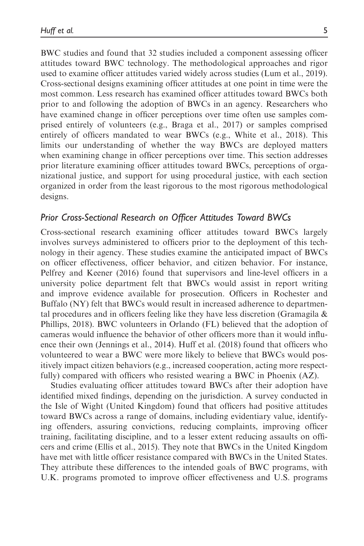BWC studies and found that 32 studies included a component assessing officer attitudes toward BWC technology. The methodological approaches and rigor used to examine officer attitudes varied widely across studies (Lum et al., 2019). Cross-sectional designs examining officer attitudes at one point in time were the most common. Less research has examined officer attitudes toward BWCs both prior to and following the adoption of BWCs in an agency. Researchers who have examined change in officer perceptions over time often use samples comprised entirely of volunteers (e.g., Braga et al., 2017) or samples comprised entirely of officers mandated to wear BWCs (e.g., White et al., 2018). This limits our understanding of whether the way BWCs are deployed matters when examining change in officer perceptions over time. This section addresses prior literature examining officer attitudes toward BWCs, perceptions of organizational justice, and support for using procedural justice, with each section organized in order from the least rigorous to the most rigorous methodological designs.

### Prior Cross-Sectional Research on Officer Attitudes Toward BWCs

Cross-sectional research examining officer attitudes toward BWCs largely involves surveys administered to officers prior to the deployment of this technology in their agency. These studies examine the anticipated impact of BWCs on officer effectiveness, officer behavior, and citizen behavior. For instance, Pelfrey and Keener (2016) found that supervisors and line-level officers in a university police department felt that BWCs would assist in report writing and improve evidence available for prosecution. Officers in Rochester and Buffalo (NY) felt that BWCs would result in increased adherence to departmental procedures and in officers feeling like they have less discretion (Gramagila  $\&$ Phillips, 2018). BWC volunteers in Orlando (FL) believed that the adoption of cameras would influence the behavior of other officers more than it would influence their own (Jennings et al., 2014). Huff et al. (2018) found that officers who volunteered to wear a BWC were more likely to believe that BWCs would positively impact citizen behaviors (e.g., increased cooperation, acting more respectfully) compared with officers who resisted wearing a BWC in Phoenix (AZ).

Studies evaluating officer attitudes toward BWCs after their adoption have identified mixed findings, depending on the jurisdiction. A survey conducted in the Isle of Wight (United Kingdom) found that officers had positive attitudes toward BWCs across a range of domains, including evidentiary value, identifying offenders, assuring convictions, reducing complaints, improving officer training, facilitating discipline, and to a lesser extent reducing assaults on officers and crime (Ellis et al., 2015). They note that BWCs in the United Kingdom have met with little officer resistance compared with BWCs in the United States. They attribute these differences to the intended goals of BWC programs, with U.K. programs promoted to improve officer effectiveness and U.S. programs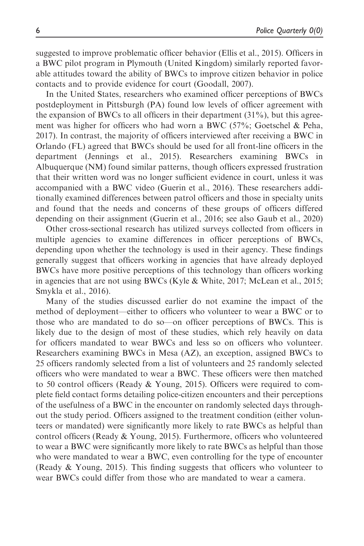suggested to improve problematic officer behavior (Ellis et al., 2015). Officers in a BWC pilot program in Plymouth (United Kingdom) similarly reported favorable attitudes toward the ability of BWCs to improve citizen behavior in police contacts and to provide evidence for court (Goodall, 2007).

In the United States, researchers who examined officer perceptions of BWCs postdeployment in Pittsburgh (PA) found low levels of officer agreement with the expansion of BWCs to all officers in their department  $(31\%)$ , but this agreement was higher for officers who had worn a BWC (57%; Goetschel & Peha, 2017). In contrast, the majority of officers interviewed after receiving a BWC in Orlando (FL) agreed that BWCs should be used for all front-line officers in the department (Jennings et al., 2015). Researchers examining BWCs in Albuquerque (NM) found similar patterns, though officers expressed frustration that their written word was no longer sufficient evidence in court, unless it was accompanied with a BWC video (Guerin et al., 2016). These researchers additionally examined differences between patrol officers and those in specialty units and found that the needs and concerns of these groups of officers differed depending on their assignment (Guerin et al., 2016; see also Gaub et al., 2020)

Other cross-sectional research has utilized surveys collected from officers in multiple agencies to examine differences in officer perceptions of BWCs, depending upon whether the technology is used in their agency. These findings generally suggest that officers working in agencies that have already deployed BWCs have more positive perceptions of this technology than officers working in agencies that are not using BWCs (Kyle & White, 2017; McLean et al., 2015; Smykla et al., 2016).

Many of the studies discussed earlier do not examine the impact of the method of deployment—either to officers who volunteer to wear a BWC or to those who are mandated to do so—on officer perceptions of BWCs. This is likely due to the design of most of these studies, which rely heavily on data for officers mandated to wear BWCs and less so on officers who volunteer. Researchers examining BWCs in Mesa (AZ), an exception, assigned BWCs to 25 officers randomly selected from a list of volunteers and 25 randomly selected officers who were mandated to wear a BWC. These officers were then matched to 50 control officers (Ready & Young, 2015). Officers were required to complete field contact forms detailing police-citizen encounters and their perceptions of the usefulness of a BWC in the encounter on randomly selected days throughout the study period. Officers assigned to the treatment condition (either volunteers or mandated) were significantly more likely to rate BWCs as helpful than control officers (Ready  $& Young, 2015$ ). Furthermore, officers who volunteered to wear a BWC were significantly more likely to rate BWCs as helpful than those who were mandated to wear a BWC, even controlling for the type of encounter (Ready & Young, 2015). This finding suggests that officers who volunteer to wear BWCs could differ from those who are mandated to wear a camera.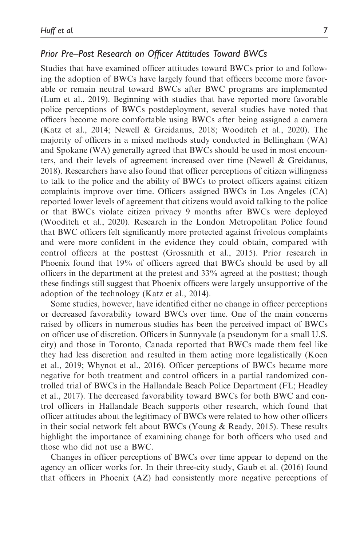## Prior Pre–Post Research on Officer Attitudes Toward BWCs

Studies that have examined officer attitudes toward BWCs prior to and following the adoption of BWCs have largely found that officers become more favorable or remain neutral toward BWCs after BWC programs are implemented (Lum et al., 2019). Beginning with studies that have reported more favorable police perceptions of BWCs postdeployment, several studies have noted that officers become more comfortable using BWCs after being assigned a camera (Katz et al., 2014; Newell & Greidanus, 2018; Wooditch et al., 2020). The majority of officers in a mixed methods study conducted in Bellingham (WA) and Spokane (WA) generally agreed that BWCs should be used in most encounters, and their levels of agreement increased over time (Newell & Greidanus, 2018). Researchers have also found that officer perceptions of citizen willingness to talk to the police and the ability of BWCs to protect officers against citizen complaints improve over time. Officers assigned BWCs in Los Angeles (CA) reported lower levels of agreement that citizens would avoid talking to the police or that BWCs violate citizen privacy 9 months after BWCs were deployed (Wooditch et al., 2020). Research in the London Metropolitan Police found that BWC officers felt significantly more protected against frivolous complaints and were more confident in the evidence they could obtain, compared with control officers at the posttest (Grossmith et al., 2015). Prior research in Phoenix found that 19% of officers agreed that BWCs should be used by all officers in the department at the pretest and 33% agreed at the posttest; though these findings still suggest that Phoenix officers were largely unsupportive of the adoption of the technology (Katz et al., 2014).

Some studies, however, have identified either no change in officer perceptions or decreased favorability toward BWCs over time. One of the main concerns raised by officers in numerous studies has been the perceived impact of BWCs on officer use of discretion. Officers in Sunnyvale (a pseudonym for a small U.S. city) and those in Toronto, Canada reported that BWCs made them feel like they had less discretion and resulted in them acting more legalistically (Koen et al., 2019; Whynot et al., 2016). Officer perceptions of BWCs became more negative for both treatment and control officers in a partial randomized controlled trial of BWCs in the Hallandale Beach Police Department (FL; Headley et al., 2017). The decreased favorability toward BWCs for both BWC and control officers in Hallandale Beach supports other research, which found that officer attitudes about the legitimacy of BWCs were related to how other officers in their social network felt about BWCs (Young & Ready, 2015). These results highlight the importance of examining change for both officers who used and those who did not use a BWC.

Changes in officer perceptions of BWCs over time appear to depend on the agency an officer works for. In their three-city study, Gaub et al. (2016) found that officers in Phoenix (AZ) had consistently more negative perceptions of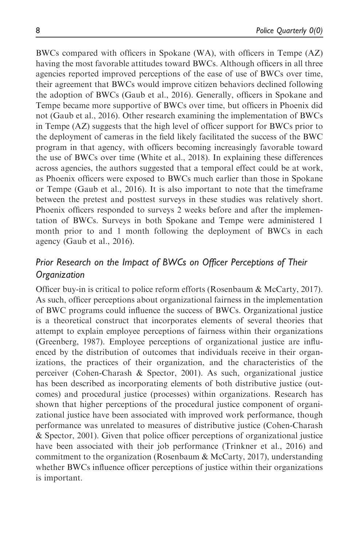BWCs compared with officers in Spokane (WA), with officers in Tempe (AZ) having the most favorable attitudes toward BWCs. Although officers in all three agencies reported improved perceptions of the ease of use of BWCs over time, their agreement that BWCs would improve citizen behaviors declined following the adoption of BWCs (Gaub et al., 2016). Generally, officers in Spokane and Tempe became more supportive of BWCs over time, but officers in Phoenix did not (Gaub et al., 2016). Other research examining the implementation of BWCs in Tempe (AZ) suggests that the high level of officer support for BWCs prior to the deployment of cameras in the field likely facilitated the success of the BWC program in that agency, with officers becoming increasingly favorable toward the use of BWCs over time (White et al., 2018). In explaining these differences across agencies, the authors suggested that a temporal effect could be at work, as Phoenix officers were exposed to BWCs much earlier than those in Spokane or Tempe (Gaub et al., 2016). It is also important to note that the timeframe between the pretest and posttest surveys in these studies was relatively short. Phoenix officers responded to surveys 2 weeks before and after the implementation of BWCs. Surveys in both Spokane and Tempe were administered 1 month prior to and 1 month following the deployment of BWCs in each agency (Gaub et al., 2016).

# Prior Research on the Impact of BWCs on Officer Perceptions of Their Organization

Officer buy-in is critical to police reform efforts (Rosenbaum & McCarty, 2017). As such, officer perceptions about organizational fairness in the implementation of BWC programs could influence the success of BWCs. Organizational justice is a theoretical construct that incorporates elements of several theories that attempt to explain employee perceptions of fairness within their organizations (Greenberg, 1987). Employee perceptions of organizational justice are influenced by the distribution of outcomes that individuals receive in their organizations, the practices of their organization, and the characteristics of the perceiver (Cohen-Charash & Spector, 2001). As such, organizational justice has been described as incorporating elements of both distributive justice (outcomes) and procedural justice (processes) within organizations. Research has shown that higher perceptions of the procedural justice component of organizational justice have been associated with improved work performance, though performance was unrelated to measures of distributive justice (Cohen-Charash & Spector, 2001). Given that police officer perceptions of organizational justice have been associated with their job performance (Trinkner et al., 2016) and commitment to the organization (Rosenbaum & McCarty, 2017), understanding whether BWCs influence officer perceptions of justice within their organizations is important.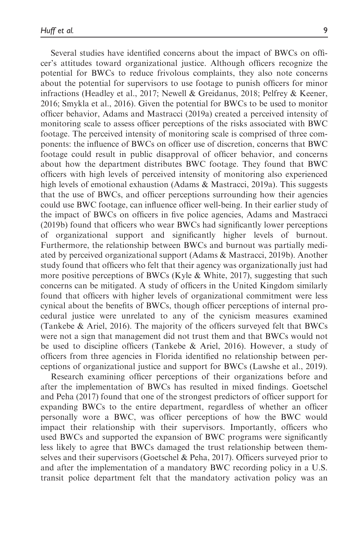Several studies have identified concerns about the impact of BWCs on officer's attitudes toward organizational justice. Although officers recognize the potential for BWCs to reduce frivolous complaints, they also note concerns about the potential for supervisors to use footage to punish officers for minor infractions (Headley et al., 2017; Newell & Greidanus, 2018; Pelfrey & Keener, 2016; Smykla et al., 2016). Given the potential for BWCs to be used to monitor officer behavior, Adams and Mastracci (2019a) created a perceived intensity of monitoring scale to assess officer perceptions of the risks associated with BWC footage. The perceived intensity of monitoring scale is comprised of three components: the influence of BWCs on officer use of discretion, concerns that BWC footage could result in public disapproval of officer behavior, and concerns about how the department distributes BWC footage. They found that BWC officers with high levels of perceived intensity of monitoring also experienced high levels of emotional exhaustion (Adams & Mastracci, 2019a). This suggests that the use of BWCs, and officer perceptions surrounding how their agencies could use BWC footage, can influence officer well-being. In their earlier study of the impact of BWCs on officers in five police agencies, Adams and Mastracci (2019b) found that officers who wear BWCs had significantly lower perceptions of organizational support and significantly higher levels of burnout. Furthermore, the relationship between BWCs and burnout was partially mediated by perceived organizational support (Adams & Mastracci, 2019b). Another study found that officers who felt that their agency was organizationally just had more positive perceptions of BWCs (Kyle & White, 2017), suggesting that such concerns can be mitigated. A study of officers in the United Kingdom similarly found that officers with higher levels of organizational commitment were less cynical about the benefits of BWCs, though officer perceptions of internal procedural justice were unrelated to any of the cynicism measures examined (Tankebe & Ariel, 2016). The majority of the officers surveyed felt that BWCs were not a sign that management did not trust them and that BWCs would not be used to discipline officers (Tankebe & Ariel, 2016). However, a study of officers from three agencies in Florida identified no relationship between perceptions of organizational justice and support for BWCs (Lawshe et al., 2019).

Research examining officer perceptions of their organizations before and after the implementation of BWCs has resulted in mixed findings. Goetschel and Peha (2017) found that one of the strongest predictors of officer support for expanding BWCs to the entire department, regardless of whether an officer personally wore a BWC, was officer perceptions of how the BWC would impact their relationship with their supervisors. Importantly, officers who used BWCs and supported the expansion of BWC programs were significantly less likely to agree that BWCs damaged the trust relationship between themselves and their supervisors (Goetschel & Peha, 2017). Officers surveyed prior to and after the implementation of a mandatory BWC recording policy in a U.S. transit police department felt that the mandatory activation policy was an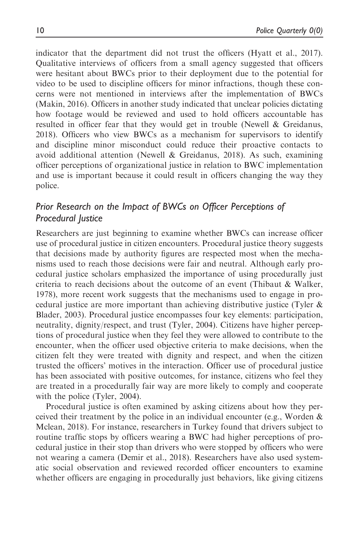indicator that the department did not trust the officers (Hyatt et al., 2017). Qualitative interviews of officers from a small agency suggested that officers were hesitant about BWCs prior to their deployment due to the potential for video to be used to discipline officers for minor infractions, though these concerns were not mentioned in interviews after the implementation of BWCs (Makin, 2016). Officers in another study indicated that unclear policies dictating how footage would be reviewed and used to hold officers accountable has resulted in officer fear that they would get in trouble (Newell & Greidanus, 2018). Officers who view BWCs as a mechanism for supervisors to identify and discipline minor misconduct could reduce their proactive contacts to avoid additional attention (Newell & Greidanus, 2018). As such, examining officer perceptions of organizational justice in relation to BWC implementation and use is important because it could result in officers changing the way they police.

# Prior Research on the Impact of BWCs on Officer Perceptions of Procedural Justice

Researchers are just beginning to examine whether BWCs can increase officer use of procedural justice in citizen encounters. Procedural justice theory suggests that decisions made by authority figures are respected most when the mechanisms used to reach those decisions were fair and neutral. Although early procedural justice scholars emphasized the importance of using procedurally just criteria to reach decisions about the outcome of an event (Thibaut & Walker, 1978), more recent work suggests that the mechanisms used to engage in procedural justice are more important than achieving distributive justice (Tyler & Blader, 2003). Procedural justice encompasses four key elements: participation, neutrality, dignity/respect, and trust (Tyler, 2004). Citizens have higher perceptions of procedural justice when they feel they were allowed to contribute to the encounter, when the officer used objective criteria to make decisions, when the citizen felt they were treated with dignity and respect, and when the citizen trusted the officers' motives in the interaction. Officer use of procedural justice has been associated with positive outcomes, for instance, citizens who feel they are treated in a procedurally fair way are more likely to comply and cooperate with the police (Tyler, 2004).

Procedural justice is often examined by asking citizens about how they perceived their treatment by the police in an individual encounter (e.g., Worden & Mclean, 2018). For instance, researchers in Turkey found that drivers subject to routine traffic stops by officers wearing a BWC had higher perceptions of procedural justice in their stop than drivers who were stopped by officers who were not wearing a camera (Demir et al., 2018). Researchers have also used systematic social observation and reviewed recorded officer encounters to examine whether officers are engaging in procedurally just behaviors, like giving citizens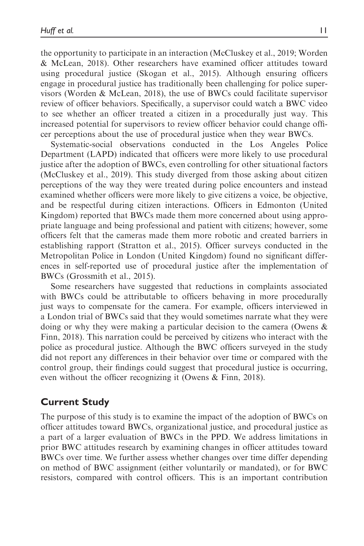the opportunity to participate in an interaction (McCluskey et al., 2019; Worden & McLean, 2018). Other researchers have examined officer attitudes toward using procedural justice (Skogan et al., 2015). Although ensuring officers engage in procedural justice has traditionally been challenging for police supervisors (Worden & McLean, 2018), the use of BWCs could facilitate supervisor review of officer behaviors. Specifically, a supervisor could watch a BWC video to see whether an officer treated a citizen in a procedurally just way. This increased potential for supervisors to review officer behavior could change officer perceptions about the use of procedural justice when they wear BWCs.

Systematic-social observations conducted in the Los Angeles Police Department (LAPD) indicated that officers were more likely to use procedural justice after the adoption of BWCs, even controlling for other situational factors (McCluskey et al., 2019). This study diverged from those asking about citizen perceptions of the way they were treated during police encounters and instead examined whether officers were more likely to give citizens a voice, be objective, and be respectful during citizen interactions. Officers in Edmonton (United Kingdom) reported that BWCs made them more concerned about using appropriate language and being professional and patient with citizens; however, some officers felt that the cameras made them more robotic and created barriers in establishing rapport (Stratton et al., 2015). Officer surveys conducted in the Metropolitan Police in London (United Kingdom) found no significant differences in self-reported use of procedural justice after the implementation of BWCs (Grossmith et al., 2015).

Some researchers have suggested that reductions in complaints associated with BWCs could be attributable to officers behaving in more procedurally just ways to compensate for the camera. For example, officers interviewed in a London trial of BWCs said that they would sometimes narrate what they were doing or why they were making a particular decision to the camera (Owens & Finn, 2018). This narration could be perceived by citizens who interact with the police as procedural justice. Although the BWC officers surveyed in the study did not report any differences in their behavior over time or compared with the control group, their findings could suggest that procedural justice is occurring, even without the officer recognizing it (Owens & Finn, 2018).

# Current Study

The purpose of this study is to examine the impact of the adoption of BWCs on officer attitudes toward BWCs, organizational justice, and procedural justice as a part of a larger evaluation of BWCs in the PPD. We address limitations in prior BWC attitudes research by examining changes in officer attitudes toward BWCs over time. We further assess whether changes over time differ depending on method of BWC assignment (either voluntarily or mandated), or for BWC resistors, compared with control officers. This is an important contribution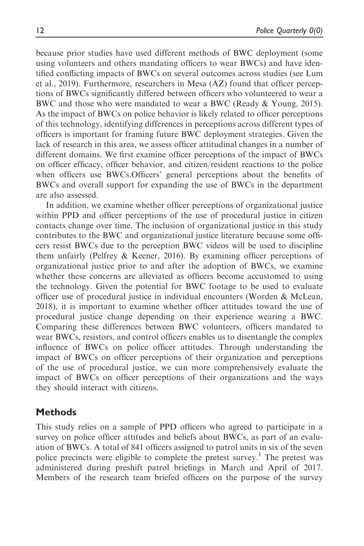because prior studies have used different methods of BWC deployment (some using volunteers and others mandating officers to wear BWCs) and have identified conflicting impacts of BWCs on several outcomes across studies (see Lum et al., 2019). Furthermore, researchers in Mesa (AZ) found that officer perceptions of BWCs significantly differed between officers who volunteered to wear a BWC and those who were mandated to wear a BWC (Ready & Young, 2015). As the impact of BWCs on police behavior is likely related to officer perceptions of this technology, identifying differences in perceptions across different types of officers is important for framing future BWC deployment strategies. Given the lack of research in this area, we assess officer attitudinal changes in a number of different domains. We first examine officer perceptions of the impact of BWCs on officer efficacy, officer behavior, and citizen/resident reactions to the police when officers use BWCs.Officers' general perceptions about the benefits of BWCs and overall support for expanding the use of BWCs in the department are also assessed.

In addition, we examine whether officer perceptions of organizational justice within PPD and officer perceptions of the use of procedural justice in citizen contacts change over time. The inclusion of organizational justice in this study contributes to the BWC and organizational justice literature because some officers resist BWCs due to the perception BWC videos will be used to discipline them unfairly (Pelfrey & Keener, 2016). By examining officer perceptions of organizational justice prior to and after the adoption of BWCs, we examine whether these concerns are alleviated as officers become accustomed to using the technology. Given the potential for BWC footage to be used to evaluate officer use of procedural justice in individual encounters (Worden & McLean, 2018), it is important to examine whether officer attitudes toward the use of procedural justice change depending on their experience wearing a BWC. Comparing these differences between BWC volunteers, officers mandated to wear BWCs, resistors, and control officers enables us to disentangle the complex influence of BWCs on police officer attitudes. Through understanding the impact of BWCs on officer perceptions of their organization and perceptions of the use of procedural justice, we can more comprehensively evaluate the impact of BWCs on officer perceptions of their organizations and the ways they should interact with citizens.

## **Methods**

This study relies on a sample of PPD officers who agreed to participate in a survey on police officer attitudes and beliefs about BWCs, as part of an evaluation of BWCs. A total of 841 officers assigned to patrol units in six of the seven police precincts were eligible to complete the pretest survey.<sup>1</sup> The pretest was administered during preshift patrol briefings in March and April of 2017. Members of the research team briefed officers on the purpose of the survey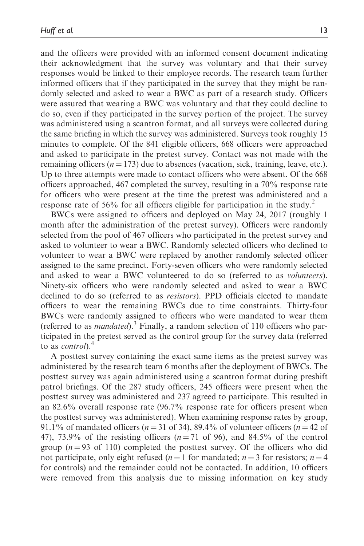and the officers were provided with an informed consent document indicating their acknowledgment that the survey was voluntary and that their survey responses would be linked to their employee records. The research team further informed officers that if they participated in the survey that they might be randomly selected and asked to wear a BWC as part of a research study. Officers were assured that wearing a BWC was voluntary and that they could decline to do so, even if they participated in the survey portion of the project. The survey was administered using a scantron format, and all surveys were collected during the same briefing in which the survey was administered. Surveys took roughly 15 minutes to complete. Of the 841 eligible officers, 668 officers were approached and asked to participate in the pretest survey. Contact was not made with the remaining officers ( $n = 173$ ) due to absences (vacation, sick, training, leave, etc.). Up to three attempts were made to contact officers who were absent. Of the 668 officers approached, 467 completed the survey, resulting in a 70% response rate for officers who were present at the time the pretest was administered and a response rate of 56% for all officers eligible for participation in the study.<sup>2</sup>

BWCs were assigned to officers and deployed on May 24, 2017 (roughly 1 month after the administration of the pretest survey). Officers were randomly selected from the pool of 467 officers who participated in the pretest survey and asked to volunteer to wear a BWC. Randomly selected officers who declined to volunteer to wear a BWC were replaced by another randomly selected officer assigned to the same precinct. Forty-seven officers who were randomly selected and asked to wear a BWC volunteered to do so (referred to as volunteers). Ninety-six officers who were randomly selected and asked to wear a BWC declined to do so (referred to as resistors). PPD officials elected to mandate officers to wear the remaining BWCs due to time constraints. Thirty-four BWCs were randomly assigned to officers who were mandated to wear them (referred to as *mandated*).<sup>3</sup> Finally, a random selection of 110 officers who participated in the pretest served as the control group for the survey data (referred to as *control*).<sup>4</sup>

A posttest survey containing the exact same items as the pretest survey was administered by the research team 6 months after the deployment of BWCs. The posttest survey was again administered using a scantron format during preshift patrol briefings. Of the 287 study officers, 245 officers were present when the posttest survey was administered and 237 agreed to participate. This resulted in an 82.6% overall response rate (96.7% response rate for officers present when the posttest survey was administered). When examining response rates by group, 91.1% of mandated officers ( $n = 31$  of 34), 89.4% of volunteer officers ( $n = 42$  of 47), 73.9% of the resisting officers  $(n=71 \text{ of } 96)$ , and 84.5% of the control group  $(n = 93$  of 110) completed the posttest survey. Of the officers who did not participate, only eight refused ( $n = 1$  for mandated;  $n = 3$  for resistors;  $n = 4$ for controls) and the remainder could not be contacted. In addition, 10 officers were removed from this analysis due to missing information on key study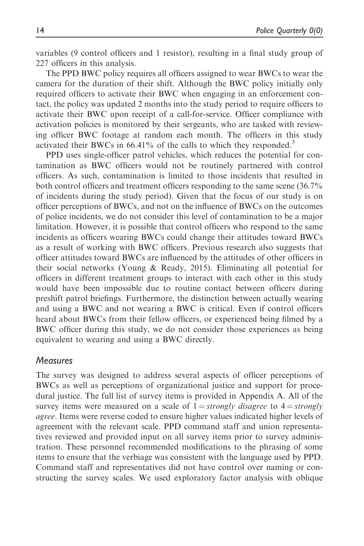variables (9 control officers and 1 resistor), resulting in a final study group of 227 officers in this analysis.

The PPD BWC policy requires all officers assigned to wear BWCs to wear the camera for the duration of their shift. Although the BWC policy initially only required officers to activate their BWC when engaging in an enforcement contact, the policy was updated 2 months into the study period to require officers to activate their BWC upon receipt of a call-for-service. Officer compliance with activation policies is monitored by their sergeants, who are tasked with reviewing officer BWC footage at random each month. The officers in this study activated their BWCs in  $66.41\%$  of the calls to which they responded.<sup>5</sup>

PPD uses single-officer patrol vehicles, which reduces the potential for contamination as BWC officers would not be routinely partnered with control officers. As such, contamination is limited to those incidents that resulted in both control officers and treatment officers responding to the same scene (36.7% of incidents during the study period). Given that the focus of our study is on officer perceptions of BWCs, and not on the influence of BWCs on the outcomes of police incidents, we do not consider this level of contamination to be a major limitation. However, it is possible that control officers who respond to the same incidents as officers wearing BWCs could change their attitudes toward BWCs as a result of working with BWC officers. Previous research also suggests that officer attitudes toward BWCs are influenced by the attitudes of other officers in their social networks (Young & Ready, 2015). Eliminating all potential for officers in different treatment groups to interact with each other in this study would have been impossible due to routine contact between officers during preshift patrol briefings. Furthermore, the distinction between actually wearing and using a BWC and not wearing a BWC is critical. Even if control officers heard about BWCs from their fellow officers, or experienced being filmed by a BWC officer during this study, we do not consider those experiences as being equivalent to wearing and using a BWC directly.

#### **Measures**

The survey was designed to address several aspects of officer perceptions of BWCs as well as perceptions of organizational justice and support for procedural justice. The full list of survey items is provided in Appendix A. All of the survey items were measured on a scale of  $1 =$ strongly disagree to  $4 =$ strongly agree. Items were reverse coded to ensure higher values indicated higher levels of agreement with the relevant scale. PPD command staff and union representatives reviewed and provided input on all survey items prior to survey administration. These personnel recommended modifications to the phrasing of some items to ensure that the verbiage was consistent with the language used by PPD. Command staff and representatives did not have control over naming or constructing the survey scales. We used exploratory factor analysis with oblique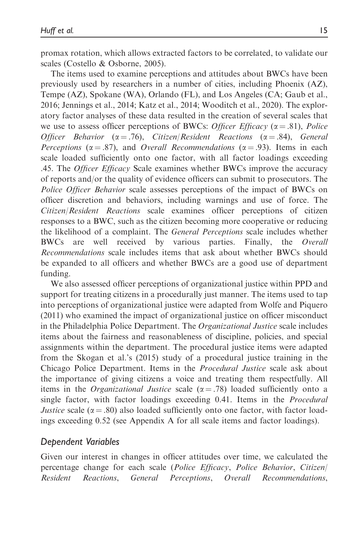promax rotation, which allows extracted factors to be correlated, to validate our scales (Costello & Osborne, 2005).

The items used to examine perceptions and attitudes about BWCs have been previously used by researchers in a number of cities, including Phoenix (AZ), Tempe (AZ), Spokane (WA), Orlando (FL), and Los Angeles (CA; Gaub et al., 2016; Jennings et al., 2014; Katz et al., 2014; Wooditch et al., 2020). The exploratory factor analyses of these data resulted in the creation of several scales that we use to assess officer perceptions of BWCs: Officer Efficacy ( $\alpha = .81$ ), Police Officer Behavior ( $\alpha = .76$ ), Citizen/Resident Reactions ( $\alpha = .84$ ), General Perceptions ( $\alpha = .87$ ), and Overall Recommendations ( $\alpha = .93$ ). Items in each scale loaded sufficiently onto one factor, with all factor loadings exceeding .45. The Officer Efficacy Scale examines whether BWCs improve the accuracy of reports and/or the quality of evidence officers can submit to prosecutors. The Police Officer Behavior scale assesses perceptions of the impact of BWCs on officer discretion and behaviors, including warnings and use of force. The Citizen/Resident Reactions scale examines officer perceptions of citizen responses to a BWC, such as the citizen becoming more cooperative or reducing the likelihood of a complaint. The General Perceptions scale includes whether BWCs are well received by various parties. Finally, the Overall Recommendations scale includes items that ask about whether BWCs should be expanded to all officers and whether BWCs are a good use of department funding.

We also assessed officer perceptions of organizational justice within PPD and support for treating citizens in a procedurally just manner. The items used to tap into perceptions of organizational justice were adapted from Wolfe and Piquero (2011) who examined the impact of organizational justice on officer misconduct in the Philadelphia Police Department. The Organizational Justice scale includes items about the fairness and reasonableness of discipline, policies, and special assignments within the department. The procedural justice items were adapted from the Skogan et al.'s (2015) study of a procedural justice training in the Chicago Police Department. Items in the Procedural Justice scale ask about the importance of giving citizens a voice and treating them respectfully. All items in the *Organizational Justice* scale  $(\alpha = .78)$  loaded sufficiently onto a single factor, with factor loadings exceeding 0.41. Items in the *Procedural* Justice scale ( $\alpha$  = .80) also loaded sufficiently onto one factor, with factor loadings exceeding 0.52 (see Appendix A for all scale items and factor loadings).

### Dependent Variables

Given our interest in changes in officer attitudes over time, we calculated the percentage change for each scale (Police Efficacy, Police Behavior, Citizen/ Resident Reactions, General Perceptions, Overall Recommendations,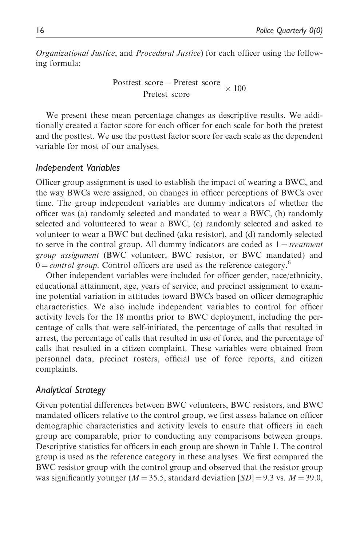Organizational Justice, and Procedural Justice) for each officer using the following formula:

Posttest score - Pretest score Pretest score 100

We present these mean percentage changes as descriptive results. We additionally created a factor score for each officer for each scale for both the pretest and the posttest. We use the posttest factor score for each scale as the dependent variable for most of our analyses.

#### Independent Variables

Officer group assignment is used to establish the impact of wearing a BWC, and the way BWCs were assigned, on changes in officer perceptions of BWCs over time. The group independent variables are dummy indicators of whether the officer was (a) randomly selected and mandated to wear a BWC, (b) randomly selected and volunteered to wear a BWC, (c) randomly selected and asked to volunteer to wear a BWC but declined (aka resistor), and (d) randomly selected to serve in the control group. All dummy indicators are coded as  $1 = treatment$ group assignment (BWC volunteer, BWC resistor, or BWC mandated) and  $0 = control \ group$ . Control officers are used as the reference category.<sup>6</sup>

Other independent variables were included for officer gender, race/ethnicity, educational attainment, age, years of service, and precinct assignment to examine potential variation in attitudes toward BWCs based on officer demographic characteristics. We also include independent variables to control for officer activity levels for the 18 months prior to BWC deployment, including the percentage of calls that were self-initiated, the percentage of calls that resulted in arrest, the percentage of calls that resulted in use of force, and the percentage of calls that resulted in a citizen complaint. These variables were obtained from personnel data, precinct rosters, official use of force reports, and citizen complaints.

### Analytical Strategy

Given potential differences between BWC volunteers, BWC resistors, and BWC mandated officers relative to the control group, we first assess balance on officer demographic characteristics and activity levels to ensure that officers in each group are comparable, prior to conducting any comparisons between groups. Descriptive statistics for officers in each group are shown in Table 1. The control group is used as the reference category in these analyses. We first compared the BWC resistor group with the control group and observed that the resistor group was significantly younger ( $M = 35.5$ , standard deviation  $[SD] = 9.3$  vs.  $M = 39.0$ ,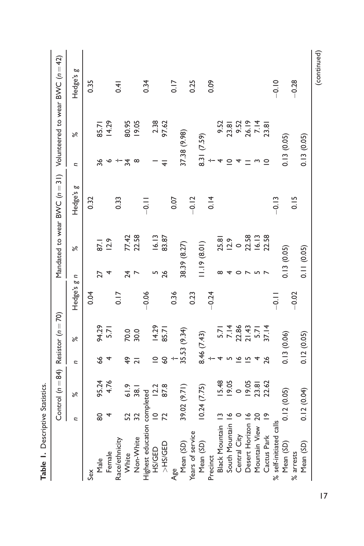| Table 1. Descriptive Statistics. |               |                                    |                 |              |               |              |                    |                               |                |               |                                   |
|----------------------------------|---------------|------------------------------------|-----------------|--------------|---------------|--------------|--------------------|-------------------------------|----------------|---------------|-----------------------------------|
|                                  |               | Control $(n=84)$ Resistor $(n=70)$ |                 |              |               |              |                    | Mandated to wear BWC $(n=31)$ |                |               | Volunteered to wear BVVC (n = 42) |
|                                  | n             | $\aleph$                           | $\overline{z}$  | $\aleph$     | Hedge's g n   |              | ৯ৎ                 | Hedge's g                     | n              | $\aleph$      | Hedge's g                         |
| Sex                              |               |                                    |                 |              | 0.04          |              |                    | 0.32                          |                |               | 0.35                              |
| Male                             | 80            | 95.24                              | 89              | 94.29        |               | 27           | 87.1               |                               | 36             | 85.71         |                                   |
| Female                           |               | 4.76                               |                 | 5.71         |               |              | 12.9               |                               | ∘              | 14.29         |                                   |
| Race/ethnicity                   |               |                                    |                 |              | 0.17          |              |                    | 0.33                          |                |               | 0.41                              |
| White                            |               | 61.9                               | $\frac{6}{7}$   | 70.0         |               | 24           |                    |                               | $\overline{3}$ | 80.95         |                                   |
| Non-White                        | 52<br>32      | 38.1                               | ಸ               | 30.0         |               |              | 77.42<br>22.58     |                               | $^\infty$      | 19.05         |                                   |
| Highest education completed      |               |                                    |                 |              | $-0.06$       |              |                    | $\frac{1}{2}$                 |                |               | 0.34                              |
| <b>HS/GED</b>                    |               | 12.2                               | $\subseteq$     | 14.29        |               |              | 16.13              |                               |                | 2.38          |                                   |
| >HS/GED                          | $\frac{1}{2}$ | 87.8                               | $\overline{60}$ | 85.71        |               | 26           | 83.87              |                               | ₹              | 97.62         |                                   |
| Age                              |               |                                    |                 |              | 0.36          |              |                    | 0.07                          |                |               | 0.17                              |
| Mean (SD)                        |               | 39.02 (9.71)                       |                 | 35.53 (9.34) |               | 38.39 (8.27) |                    |                               | 37.38 (9.98)   |               |                                   |
| Years of service                 |               |                                    |                 |              | 0.23          |              |                    | $-0.12$                       |                |               | 0.25                              |
| Mean (SD)                        |               | 10.24(7.75)                        | 8.46 (7.43)     |              |               | 1.19(8.01)   |                    |                               | 8.31 (7.59)    |               |                                   |
| Precinct                         |               |                                    |                 |              | $-0.24$       |              |                    | 0.14                          |                |               | 0.09                              |
| Black Mountain 13                |               | 5.48                               |                 | 5.71         |               | $\infty$     |                    |                               | 4              |               |                                   |
| South Mountain 16                |               | 19.05                              |                 | 7.14         |               | 4            | 25.81<br>12.9      |                               | $\circ$        | 9.52<br>23.81 |                                   |
| Central City                     |               | $\circ$                            | $\bullet$       | 12.86        |               |              | 0 22.58            |                               |                | 9.52<br>26.19 |                                   |
| Desert Horizon 16                |               | 9.05                               | L               | 21.43        |               |              |                    |                               |                |               |                                   |
| Mountain View 20                 |               | 23.81                              |                 | 5.71         |               |              | $16.13$<br>$22.58$ |                               |                | 7.14          |                                   |
| Cactus Park                      | $\tilde{=}$   | 22.62                              | 26              | 37.14        |               |              |                    |                               | $\circ$        | 23.81         |                                   |
| % self-initiated calls           |               |                                    |                 |              | $\frac{1}{2}$ |              |                    | $-0.13$                       |                |               | $-0.10$                           |
| Mean (SD)                        | 0.12(0.05)    |                                    | 0.13(0.06)      |              |               | 0.13(0.05)   |                    |                               | 0.13(0.05)     |               |                                   |
| % arrests                        |               |                                    |                 |              | $-0.02$       |              |                    | 0.15                          |                |               | $-0.28$                           |
| Mean (SD)                        |               | 0.12(0.04)                         | 0.12(0.05)      |              |               | 0.11(0.05)   |                    |                               | 0.13(0.05)     |               |                                   |

17

(continued)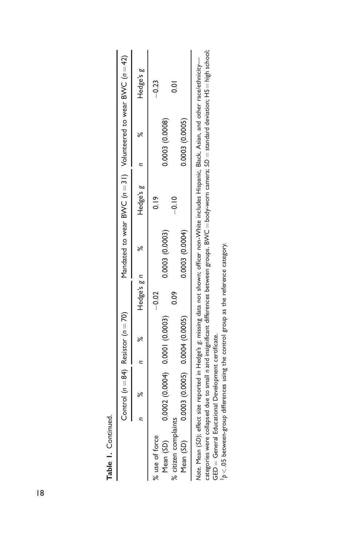|                      | Control $(n=84)$ Resistor $(n=70)$                                                                                                                                                                                             |   |             |                 | Mandated to wear BVVC $(n=31)$ Volunteered to wear BVVC $(n=42)$ |                 |   |                |
|----------------------|--------------------------------------------------------------------------------------------------------------------------------------------------------------------------------------------------------------------------------|---|-------------|-----------------|------------------------------------------------------------------|-----------------|---|----------------|
|                      | ×                                                                                                                                                                                                                              | æ | Hedge's g n | ಸಿ              | Hedge's g                                                        |                 | × | Hedge's g      |
| % use of force       |                                                                                                                                                                                                                                |   | $-0.02$     |                 |                                                                  |                 |   | $-0.23$        |
| Mean (SD)            | 0.0002(0.0004) 0.0001(0.0003)                                                                                                                                                                                                  |   |             | 0.0003 (0.0003) |                                                                  | 0.0003 (0.0008) |   |                |
| % citizen complaints |                                                                                                                                                                                                                                |   | <b>eo</b>   |                 | $-0.10$                                                          |                 |   | $\overline{5}$ |
| Mean (SD)            | $0.0003$ (0.0005) 0.0004 (0.0005)                                                                                                                                                                                              |   |             | 0.0003 (0.0004) |                                                                  | 0.0003 (0.0005) |   |                |
|                      | winder (CD), Catalog and Lotted in the composite the control of the control of the control of the control of the control of the control of the control of the control of the control of the control of the control of the cont |   |             |                 |                                                                  |                 |   |                |

categories were collapsed due to small n and insignificant differences between groups. BVVC = body-worn camera; SD = standard deviation; HS = high school; categories were collapsed due to small n and insignificant differences between groups. BVVC  $=$  body-worn camera;  $\Omega =$  standard deviation; HS = high school; Note. Mean (SD); effect size reported in Hedge's g; missing data not shown; officer non-White includes Hispanic, Black, Asian, and other race/ethnicity— Note. Mean (SD); effect size reported in Hedge's g; missing data not shown; officer non-White includes Hispanic, Black, Asian, and other race/ethnicity-GED = General Educational Development certificate.  $GED =$  General Educational Development certificate.

 $^{\dagger}p$  < .05 between-group differences using the control group as the reference category.  $^{\dagger}$ p  $<$  .05 between-group differences using the control group as the reference category.

18

Table 1. Continued.

Table I. Continued.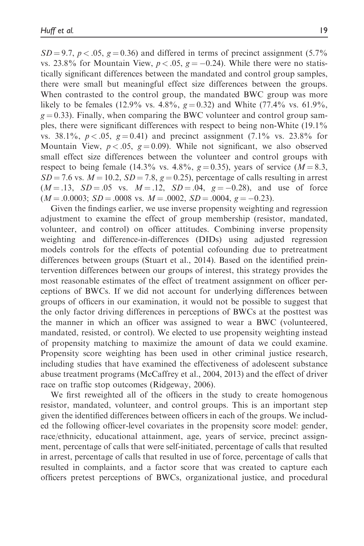$SD = 9.7$ ,  $p < .05$ ,  $g = 0.36$ ) and differed in terms of precinct assignment (5.7%) vs. 23.8% for Mountain View,  $p < .05$ ,  $g = -0.24$ ). While there were no statistically significant differences between the mandated and control group samples, there were small but meaningful effect size differences between the groups. When contrasted to the control group, the mandated BWC group was more likely to be females (12.9% vs. 4.8%,  $g = 0.32$ ) and White (77.4% vs. 61.9%,  $g = 0.33$ ). Finally, when comparing the BWC volunteer and control group samples, there were significant differences with respect to being non-White (19.1% vs. 38.1%,  $p < .05$ ,  $g = 0.41$ ) and precinct assignment (7.1% vs. 23.8% for Mountain View,  $p < .05$ ,  $g = 0.09$ ). While not significant, we also observed small effect size differences between the volunteer and control groups with respect to being female (14.3% vs. 4.8%,  $g = 0.35$ ), years of service ( $M = 8.3$ ,  $SD = 7.6$  vs.  $M = 10.2$ ,  $SD = 7.8$ ,  $g = 0.25$ ), percentage of calls resulting in arrest  $(M = .13, SD = .05 \text{ vs. } M = .12, SD = .04, g = -0.28)$ , and use of force  $(M = .0.0003; SD = .0008 \text{ vs. } M = .0002, SD = .0004, g = -0.23).$ 

Given the findings earlier, we use inverse propensity weighting and regression adjustment to examine the effect of group membership (resistor, mandated, volunteer, and control) on officer attitudes. Combining inverse propensity weighting and difference-in-differences (DIDs) using adjusted regression models controls for the effects of potential cofounding due to pretreatment differences between groups (Stuart et al., 2014). Based on the identified preintervention differences between our groups of interest, this strategy provides the most reasonable estimates of the effect of treatment assignment on officer perceptions of BWCs. If we did not account for underlying differences between groups of officers in our examination, it would not be possible to suggest that the only factor driving differences in perceptions of BWCs at the posttest was the manner in which an officer was assigned to wear a BWC (volunteered, mandated, resisted, or control). We elected to use propensity weighting instead of propensity matching to maximize the amount of data we could examine. Propensity score weighting has been used in other criminal justice research, including studies that have examined the effectiveness of adolescent substance abuse treatment programs (McCaffrey et al., 2004, 2013) and the effect of driver race on traffic stop outcomes (Ridgeway, 2006).

We first reweighted all of the officers in the study to create homogenous resistor, mandated, volunteer, and control groups. This is an important step given the identified differences between officers in each of the groups. We included the following officer-level covariates in the propensity score model: gender, race/ethnicity, educational attainment, age, years of service, precinct assignment, percentage of calls that were self-initiated, percentage of calls that resulted in arrest, percentage of calls that resulted in use of force, percentage of calls that resulted in complaints, and a factor score that was created to capture each officers pretest perceptions of BWCs, organizational justice, and procedural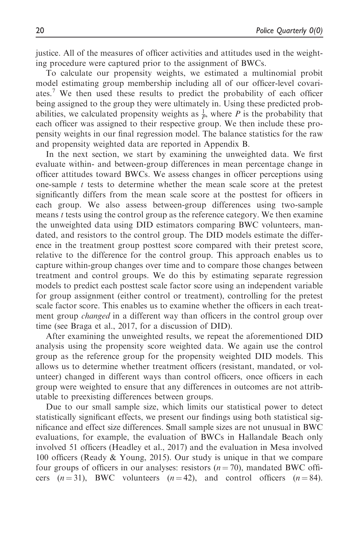justice. All of the measures of officer activities and attitudes used in the weighting procedure were captured prior to the assignment of BWCs.

To calculate our propensity weights, we estimated a multinomial probit model estimating group membership including all of our officer-level covariates.<sup>7</sup> We then used these results to predict the probability of each officer being assigned to the group they were ultimately in. Using these predicted probabilities, we calculated propensity weights as  $\frac{1}{p}$ , where P is the probability that each officer was assigned to their respective group. We then include these propensity weights in our final regression model. The balance statistics for the raw and propensity weighted data are reported in Appendix B.

In the next section, we start by examining the unweighted data. We first evaluate within- and between-group differences in mean percentage change in officer attitudes toward BWCs. We assess changes in officer perceptions using one-sample  $t$  tests to determine whether the mean scale score at the pretest significantly differs from the mean scale score at the posttest for officers in each group. We also assess between-group differences using two-sample means *t* tests using the control group as the reference category. We then examine the unweighted data using DID estimators comparing BWC volunteers, mandated, and resistors to the control group. The DID models estimate the difference in the treatment group posttest score compared with their pretest score, relative to the difference for the control group. This approach enables us to capture within-group changes over time and to compare those changes between treatment and control groups. We do this by estimating separate regression models to predict each posttest scale factor score using an independent variable for group assignment (either control or treatment), controlling for the pretest scale factor score. This enables us to examine whether the officers in each treatment group *changed* in a different way than officers in the control group over time (see Braga et al., 2017, for a discussion of DID).

After examining the unweighted results, we repeat the aforementioned DID analysis using the propensity score weighted data. We again use the control group as the reference group for the propensity weighted DID models. This allows us to determine whether treatment officers (resistant, mandated, or volunteer) changed in different ways than control officers, once officers in each group were weighted to ensure that any differences in outcomes are not attributable to preexisting differences between groups.

Due to our small sample size, which limits our statistical power to detect statistically significant effects, we present our findings using both statistical significance and effect size differences. Small sample sizes are not unusual in BWC evaluations, for example, the evaluation of BWCs in Hallandale Beach only involved 51 officers (Headley et al., 2017) and the evaluation in Mesa involved 100 officers (Ready & Young, 2015). Our study is unique in that we compare four groups of officers in our analyses: resistors  $(n = 70)$ , mandated BWC officers  $(n=31)$ , BWC volunteers  $(n=42)$ , and control officers  $(n=84)$ .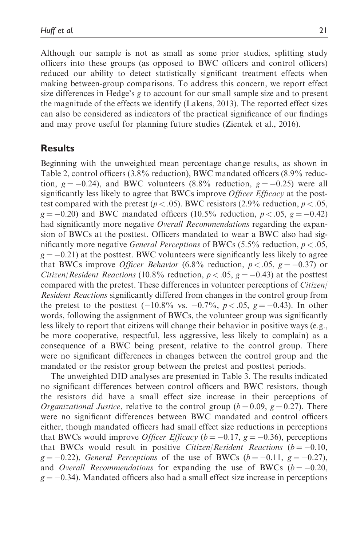Although our sample is not as small as some prior studies, splitting study officers into these groups (as opposed to BWC officers and control officers) reduced our ability to detect statistically significant treatment effects when making between-group comparisons. To address this concern, we report effect size differences in Hedge's g to account for our small sample size and to present the magnitude of the effects we identify (Lakens, 2013). The reported effect sizes can also be considered as indicators of the practical significance of our findings and may prove useful for planning future studies (Zientek et al., 2016).

# Results

Beginning with the unweighted mean percentage change results, as shown in Table 2, control officers (3.8% reduction), BWC mandated officers (8.9% reduction,  $g = -0.24$ ), and BWC volunteers (8.8% reduction,  $g = -0.25$ ) were all significantly less likely to agree that BWCs improve *Officer Efficacy* at the posttest compared with the pretest ( $p < .05$ ). BWC resistors (2.9% reduction,  $p < .05$ ,  $g = -0.20$ ) and BWC mandated officers (10.5% reduction,  $p < .05$ ,  $g = -0.42$ ) had significantly more negative Overall Recommendations regarding the expansion of BWCs at the posttest. Officers mandated to wear a BWC also had significantly more negative *General Perceptions* of BWCs  $(5.5\%$  reduction,  $p < .05$ ,  $g = -0.21$ ) at the posttest. BWC volunteers were significantly less likely to agree that BWCs improve *Officer Behavior* (6.8% reduction,  $p < .05$ ,  $g = -0.37$ ) or *Citizen/Resident Reactions* (10.8% reduction,  $p < .05$ ,  $g = -0.43$ ) at the posttest compared with the pretest. These differences in volunteer perceptions of Citizen/ Resident Reactions significantly differed from changes in the control group from the pretest to the posttest  $(-10.8\% \text{ vs. } -0.7\%, p < .05, g = -0.43)$ . In other words, following the assignment of BWCs, the volunteer group was significantly less likely to report that citizens will change their behavior in positive ways (e.g., be more cooperative, respectful, less aggressive, less likely to complain) as a consequence of a BWC being present, relative to the control group. There were no significant differences in changes between the control group and the mandated or the resistor group between the pretest and posttest periods.

The unweighted DID analyses are presented in Table 3. The results indicated no significant differences between control officers and BWC resistors, though the resistors did have a small effect size increase in their perceptions of *Organizational Justice*, relative to the control group ( $b = 0.09$ ,  $g = 0.27$ ). There were no significant differences between BWC mandated and control officers either, though mandated officers had small effect size reductions in perceptions that BWCs would improve *Officer Efficacy* ( $b = -0.17$ ,  $g = -0.36$ ), perceptions that BWCs would result in positive *Citizen*/*Resident Reactions*  $(b = -0.10,$  $g = -0.22$ ), *General Perceptions* of the use of BWCs ( $b = -0.11$ ,  $g = -0.27$ ), and Overall Recommendations for expanding the use of BWCs  $(b = -0.20,$  $g = -0.34$ ). Mandated officers also had a small effect size increase in perceptions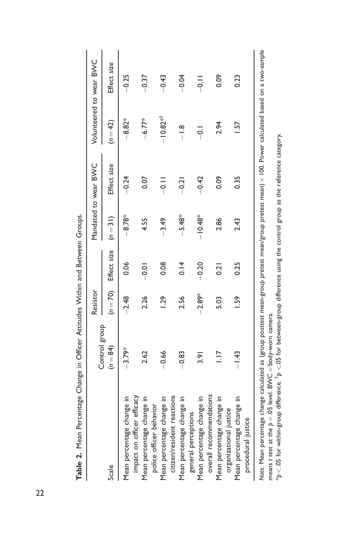| )                                                       | )             |               |                      |           |                                                                                                                 |                 |                         |
|---------------------------------------------------------|---------------|---------------|----------------------|-----------|-----------------------------------------------------------------------------------------------------------------|-----------------|-------------------------|
|                                                         | Control group | Resistor      |                      |           | Mandated to wear BWC                                                                                            |                 | Volunteered to wear BWC |
| Scale                                                   | $(n = 84)$    | $(n = 70)$    | Effect size $(n=31)$ |           | Effect size                                                                                                     | $(n = 42)$      | Effect size             |
| impact on officer efficacy<br>Mean percentage change in | $-3.79*$      | $-2.48$       | 0.06                 | $-8.78*$  | $-0.24$                                                                                                         | $-8.82*$        | $-0.25$                 |
| Mean percentage change in<br>police officer behavior    | 2.62          | 2.26          | $-0.01$              | 4.55      | 0.07                                                                                                            | $-6.77*$        | $-0.37$                 |
| citizen/resident reactions<br>Mean percentage change in | $-0.66$       | $\frac{5}{2}$ | 0.08                 | $-3.49$   | $\frac{1}{2}$                                                                                                   | $-10.82**$      | $-0.43$                 |
| Mean percentage change in<br>general perceptions        | $-0.83$       | 2.56          | 0.14                 | $-5.48*$  | $-0.21$                                                                                                         | $\frac{8}{1}$   | $-0.04$                 |
| overall recommendations<br>Mean percentage change in    | $\frac{2}{3}$ | $-2.89*$      | $-0.20$              | $-10.48*$ | $-0.42$                                                                                                         | $\frac{1}{2}$   | $\frac{1}{2}$           |
| Mean percentage change in<br>organizational justice     | $\frac{1}{2}$ | 5.03          | $\overline{0.2}$     | 2.86      | 0.09                                                                                                            | 2.94            | 0.09                    |
| Mean percentage change in<br>procedural justice         | $-1.43$       | 1.59          | 0.25                 | 2.43      | 0.35                                                                                                            | $\overline{57}$ | 0.23                    |
| Nissa Maan ammaan ah ah aa dhalaalaa la (aa             |               |               |                      |           | the second contract of the contract of the second contract of the second contract of the second contract of the |                 |                         |

Table 2. Mean Percentage Change in Officer Attitudes Within and Between Groups. Table 2. Mean Percentage Change in Officer Attitudes Within and Between Groups.

Note. Mean percentage change calculated as (group posttest mean-group pretest mean/group pretest mean) x 100. Power calculated based on a two-sample Note. Mean percentage change calculated as (group posttest mean-group pretest mean/group pretest mean) 100. Power calculated based on a two-sample means t test at the  $p=.05$  level. BWC = body-worn camera.<br>\*p < .05 for within-group difference. <sup>+</sup>p <.05 for between-group difference using the control group as the reference category.  $*_{p}$  < .05 for within-group difference.  $^{\dagger}p$  <.05 for between-group difference using the control group as the reference category. means t test at the  $p = 0.05$  level. BVVC  $=$  body-worn camera.

22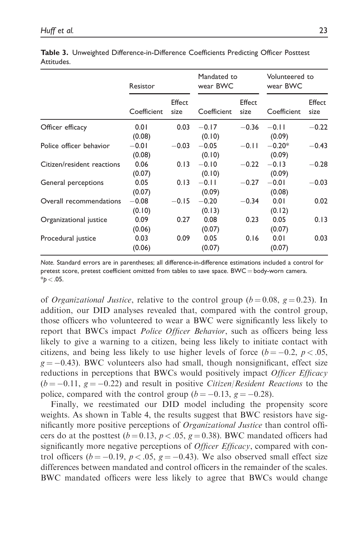|                            | Resistor          |                | Mandated to<br>wear BWC |                | Volunteered to<br>wear BWC |                |
|----------------------------|-------------------|----------------|-------------------------|----------------|----------------------------|----------------|
|                            | Coefficient       | Effect<br>size | Coefficient             | Effect<br>size | Coefficient                | Effect<br>size |
| Officer efficacy           | 0.01<br>(0.08)    | 0.03           | $-0.17$<br>(0.10)       | $-0.36$        | $-0.11$<br>(0.09)          | $-0.22$        |
| Police officer behavior    | $-0.01$<br>(0.08) | $-0.03$        | $-0.05$<br>(0.10)       | $-0.11$        | $-0.20*$<br>(0.09)         | $-0.43$        |
| Citizen/resident reactions | 0.06<br>(0.07)    | 0.13           | $-0.10$<br>(0.10)       | $-0.22$        | $-0.13$<br>(0.09)          | $-0.28$        |
| General perceptions        | 0.05<br>(0.07)    | 0.13           | $-0.11$<br>(0.09)       | $-0.27$        | $-0.01$<br>(0.08)          | $-0.03$        |
| Overall recommendations    | $-0.08$<br>(0.10) | $-0.15$        | $-0.20$<br>(0.13)       | $-0.34$        | 0.01<br>(0.12)             | 0.02           |
| Organizational justice     | 0.09<br>(0.06)    | 0.27           | 0.08<br>(0.07)          | 0.23           | 0.05<br>(0.07)             | 0.13           |
| Procedural justice         | 0.03<br>(0.06)    | 0.09           | 0.05<br>(0.07)          | 0.16           | 0.01<br>(0.07)             | 0.03           |

Table 3. Unweighted Difference-in-Difference Coefficients Predicting Officer Posttest Attitudes.

Note. Standard errors are in parentheses; all difference-in-difference estimations included a control for pretest score, pretest coefficient omitted from tables to save space. BWC = body-worn camera.  $*$ p $<$  .05.

of *Organizational Justice*, relative to the control group ( $b = 0.08$ ,  $g = 0.23$ ). In addition, our DID analyses revealed that, compared with the control group, those officers who volunteered to wear a BWC were significantly less likely to report that BWCs impact *Police Officer Behavior*, such as officers being less likely to give a warning to a citizen, being less likely to initiate contact with citizens, and being less likely to use higher levels of force  $(b = -0.2, p < .05,$  $g = -0.43$ ). BWC volunteers also had small, though nonsignificant, effect size reductions in perceptions that BWCs would positively impact *Officer Efficacy*  $(b = -0.11, g = -0.22)$  and result in positive *Citizen*/*Resident Reactions* to the police, compared with the control group  $(b = -0.13, g = -0.28)$ .

Finally, we reestimated our DID model including the propensity score weights. As shown in Table 4, the results suggest that BWC resistors have significantly more positive perceptions of Organizational Justice than control officers do at the posttest ( $b = 0.13$ ,  $p < .05$ ,  $g = 0.38$ ). BWC mandated officers had significantly more negative perceptions of *Officer Efficacy*, compared with control officers ( $b = -0.19$ ,  $p < .05$ ,  $g = -0.43$ ). We also observed small effect size differences between mandated and control officers in the remainder of the scales. BWC mandated officers were less likely to agree that BWCs would change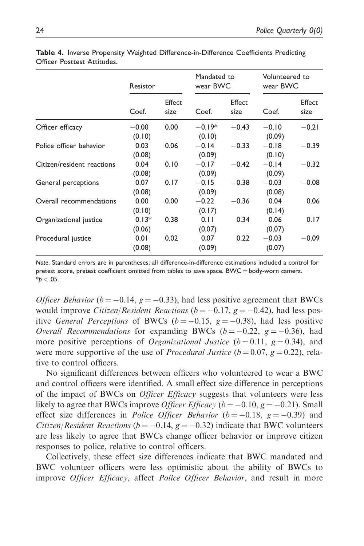|                            | Resistor          |                | Mandated to<br>wear BWC |                | Volunteered to<br>wear BWC |                |
|----------------------------|-------------------|----------------|-------------------------|----------------|----------------------------|----------------|
|                            | Coef.             | Effect<br>size | Coef.                   | Effect<br>size | Coef.                      | Effect<br>size |
| Officer efficacy           | $-0.00$<br>(0.10) | 0.00           | $-0.19*$<br>(0.10)      | $-0.43$        | $-0.10$<br>(0.09)          | $-0.21$        |
| Police officer behavior    | 0.03<br>(0.08)    | 0.06           | $-0.14$<br>(0.09)       | $-0.33$        | $-0.18$<br>(0.10)          | $-0.39$        |
| Citizen/resident reactions | 0.04<br>(0.08)    | 0.10           | $-0.17$<br>(0.09)       | $-0.42$        | $-0.14$<br>(0.09)          | $-0.32$        |
| General perceptions        | 0.07<br>(0.08)    | 0.17           | $-0.15$<br>(0.09)       | $-0.38$        | $-0.03$<br>(0.08)          | $-0.08$        |
| Overall recommendations    | 0.00<br>(0.10)    | 0.00           | $-0.22$<br>(0.17)       | $-0.36$        | 0.04<br>(0.14)             | 0.06           |
| Organizational justice     | $0.13*$<br>(0.06) | 0.38           | 0.11<br>(0.07)          | 0.34           | 0.06<br>(0.07)             | 0.17           |
| Procedural justice         | 0.01<br>(0.08)    | 0.02           | 0.07<br>(0.09)          | 0.22           | $-0.03$<br>(0.07)          | $-0.09$        |

Table 4. Inverse Propensity Weighted Difference-in-Difference Coefficients Predicting Officer Posttest Attitudes.

Note. Standard errors are in parentheses; all difference-in-difference estimations included a control for pretest score, pretest coefficient omitted from tables to save space. BWC = body-worn camera.  $*p < .05$ .

*Officer Behavior* ( $b = -0.14$ ,  $g = -0.33$ ), had less positive agreement that BWCs would improve *Citizen*/*Resident Reactions* ( $b = -0.17$ ,  $g = -0.42$ ), had less positive *General Perceptions* of BWCs ( $b = -0.15$ ,  $g = -0.38$ ), had less positive *Overall Recommendations* for expanding BWCs ( $b = -0.22$ ,  $g = -0.36$ ), had more positive perceptions of *Organizational Justice* ( $b = 0.11$ ,  $g = 0.34$ ), and were more supportive of the use of *Procedural Justice* ( $b = 0.07$ ,  $g = 0.22$ ), relative to control officers.

No significant differences between officers who volunteered to wear a BWC and control officers were identified. A small effect size difference in perceptions of the impact of BWCs on *Officer Efficacy* suggests that volunteers were less likely to agree that BWCs improve *Officer Efficacy* ( $b = -0.10$ ,  $g = -0.21$ ). Small effect size differences in *Police Officer Behavior*  $(b = -0.18, g = -0.39)$  and *Citizen*/*Resident Reactions* ( $b = -0.14$ ,  $g = -0.32$ ) indicate that BWC volunteers are less likely to agree that BWCs change officer behavior or improve citizen responses to police, relative to control officers.

Collectively, these effect size differences indicate that BWC mandated and BWC volunteer officers were less optimistic about the ability of BWCs to improve *Officer Efficacy*, affect *Police Officer Behavior*, and result in more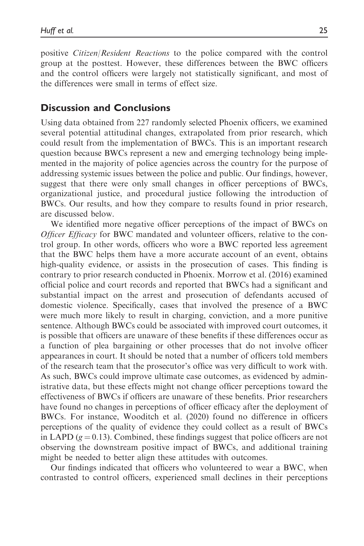positive Citizen/Resident Reactions to the police compared with the control group at the posttest. However, these differences between the BWC officers and the control officers were largely not statistically significant, and most of the differences were small in terms of effect size.

## Discussion and Conclusions

Using data obtained from 227 randomly selected Phoenix officers, we examined several potential attitudinal changes, extrapolated from prior research, which could result from the implementation of BWCs. This is an important research question because BWCs represent a new and emerging technology being implemented in the majority of police agencies across the country for the purpose of addressing systemic issues between the police and public. Our findings, however, suggest that there were only small changes in officer perceptions of BWCs, organizational justice, and procedural justice following the introduction of BWCs. Our results, and how they compare to results found in prior research, are discussed below.

We identified more negative officer perceptions of the impact of BWCs on Officer Efficacy for BWC mandated and volunteer officers, relative to the control group. In other words, officers who wore a BWC reported less agreement that the BWC helps them have a more accurate account of an event, obtains high-quality evidence, or assists in the prosecution of cases. This finding is contrary to prior research conducted in Phoenix. Morrow et al. (2016) examined official police and court records and reported that BWCs had a significant and substantial impact on the arrest and prosecution of defendants accused of domestic violence. Specifically, cases that involved the presence of a BWC were much more likely to result in charging, conviction, and a more punitive sentence. Although BWCs could be associated with improved court outcomes, it is possible that officers are unaware of these benefits if these differences occur as a function of plea bargaining or other processes that do not involve officer appearances in court. It should be noted that a number of officers told members of the research team that the prosecutor's office was very difficult to work with. As such, BWCs could improve ultimate case outcomes, as evidenced by administrative data, but these effects might not change officer perceptions toward the effectiveness of BWCs if officers are unaware of these benefits. Prior researchers have found no changes in perceptions of officer efficacy after the deployment of BWCs. For instance, Wooditch et al. (2020) found no difference in officers perceptions of the quality of evidence they could collect as a result of BWCs in LAPD ( $g = 0.13$ ). Combined, these findings suggest that police officers are not observing the downstream positive impact of BWCs, and additional training might be needed to better align these attitudes with outcomes.

Our findings indicated that officers who volunteered to wear a BWC, when contrasted to control officers, experienced small declines in their perceptions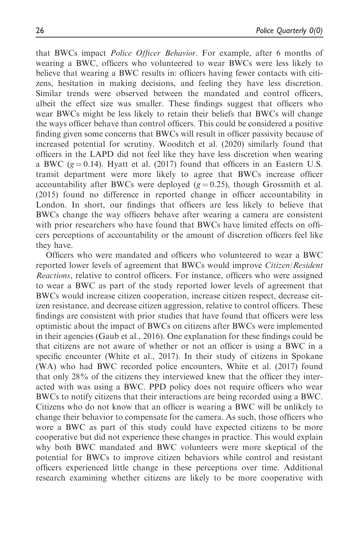that BWCs impact Police Officer Behavior. For example, after 6 months of wearing a BWC, officers who volunteered to wear BWCs were less likely to believe that wearing a BWC results in: officers having fewer contacts with citizens, hesitation in making decisions, and feeling they have less discretion. Similar trends were observed between the mandated and control officers, albeit the effect size was smaller. These findings suggest that officers who wear BWCs might be less likely to retain their beliefs that BWCs will change the ways officer behave than control officers. This could be considered a positive finding given some concerns that BWCs will result in officer passivity because of increased potential for scrutiny. Wooditch et al. (2020) similarly found that officers in the LAPD did not feel like they have less discretion when wearing a BWC ( $g = 0.14$ ). Hyatt et al. (2017) found that officers in an Eastern U.S. transit department were more likely to agree that BWCs increase officer accountability after BWCs were deployed  $(g = 0.25)$ , though Grossmith et al. (2015) found no difference in reported change in officer accountability in London. In short, our findings that officers are less likely to believe that BWCs change the way officers behave after wearing a camera are consistent with prior researchers who have found that BWCs have limited effects on officers perceptions of accountability or the amount of discretion officers feel like they have.

Officers who were mandated and officers who volunteered to wear a BWC reported lower levels of agreement that BWCs would improve Citizen/Resident Reactions, relative to control officers. For instance, officers who were assigned to wear a BWC as part of the study reported lower levels of agreement that BWCs would increase citizen cooperation, increase citizen respect, decrease citizen resistance, and decrease citizen aggression, relative to control officers. These findings are consistent with prior studies that have found that officers were less optimistic about the impact of BWCs on citizens after BWCs were implemented in their agencies (Gaub et al., 2016). One explanation for these findings could be that citizens are not aware of whether or not an officer is using a BWC in a specific encounter (White et al., 2017). In their study of citizens in Spokane (WA) who had BWC recorded police encounters, White et al. (2017) found that only 28% of the citizens they interviewed knew that the officer they interacted with was using a BWC. PPD policy does not require officers who wear BWCs to notify citizens that their interactions are being recorded using a BWC. Citizens who do not know that an officer is wearing a BWC will be unlikely to change their behavior to compensate for the camera. As such, those officers who wore a BWC as part of this study could have expected citizens to be more cooperative but did not experience these changes in practice. This would explain why both BWC mandated and BWC volunteers were more skeptical of the potential for BWCs to improve citizen behaviors while control and resistant officers experienced little change in these perceptions over time. Additional research examining whether citizens are likely to be more cooperative with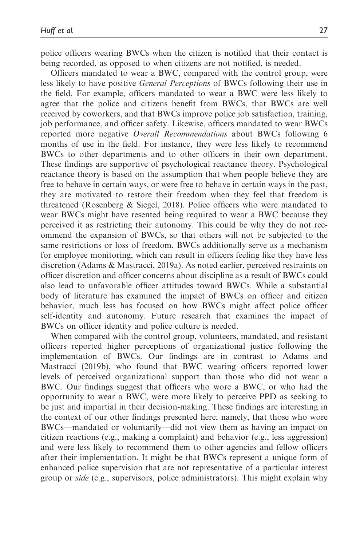police officers wearing BWCs when the citizen is notified that their contact is being recorded, as opposed to when citizens are not notified, is needed.

Officers mandated to wear a BWC, compared with the control group, were less likely to have positive General Perceptions of BWCs following their use in the field. For example, officers mandated to wear a BWC were less likely to agree that the police and citizens benefit from BWCs, that BWCs are well received by coworkers, and that BWCs improve police job satisfaction, training, job performance, and officer safety. Likewise, officers mandated to wear BWCs reported more negative Overall Recommendations about BWCs following 6 months of use in the field. For instance, they were less likely to recommend BWCs to other departments and to other officers in their own department. These findings are supportive of psychological reactance theory. Psychological reactance theory is based on the assumption that when people believe they are free to behave in certain ways, or were free to behave in certain ways in the past, they are motivated to restore their freedom when they feel that freedom is threatened (Rosenberg & Siegel, 2018). Police officers who were mandated to wear BWCs might have resented being required to wear a BWC because they perceived it as restricting their autonomy. This could be why they do not recommend the expansion of BWCs, so that others will not be subjected to the same restrictions or loss of freedom. BWCs additionally serve as a mechanism for employee monitoring, which can result in officers feeling like they have less discretion (Adams & Mastracci, 2019a). As noted earlier, perceived restraints on officer discretion and officer concerns about discipline as a result of BWCs could also lead to unfavorable officer attitudes toward BWCs. While a substantial body of literature has examined the impact of BWCs on officer and citizen behavior, much less has focused on how BWCs might affect police officer self-identity and autonomy. Future research that examines the impact of BWCs on officer identity and police culture is needed.

When compared with the control group, volunteers, mandated, and resistant officers reported higher perceptions of organizational justice following the implementation of BWCs. Our findings are in contrast to Adams and Mastracci (2019b), who found that BWC wearing officers reported lower levels of perceived organizational support than those who did not wear a BWC. Our findings suggest that officers who wore a BWC, or who had the opportunity to wear a BWC, were more likely to perceive PPD as seeking to be just and impartial in their decision-making. These findings are interesting in the context of our other findings presented here; namely, that those who wore BWCs—mandated or voluntarily—did not view them as having an impact on citizen reactions (e.g., making a complaint) and behavior (e.g., less aggression) and were less likely to recommend them to other agencies and fellow officers after their implementation. It might be that BWCs represent a unique form of enhanced police supervision that are not representative of a particular interest group or side (e.g., supervisors, police administrators). This might explain why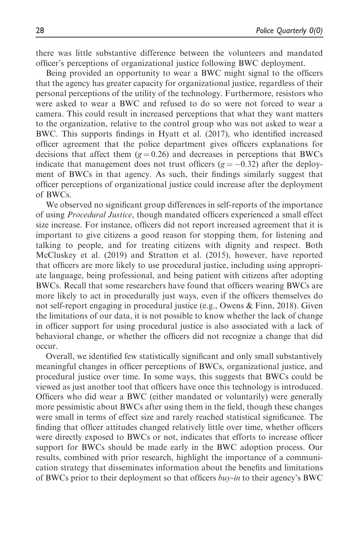there was little substantive difference between the volunteers and mandated officer's perceptions of organizational justice following BWC deployment.

Being provided an opportunity to wear a BWC might signal to the officers that the agency has greater capacity for organizational justice, regardless of their personal perceptions of the utility of the technology. Furthermore, resistors who were asked to wear a BWC and refused to do so were not forced to wear a camera. This could result in increased perceptions that what they want matters to the organization, relative to the control group who was not asked to wear a BWC. This supports findings in Hyatt et al. (2017), who identified increased officer agreement that the police department gives officers explanations for decisions that affect them  $(g = 0.26)$  and decreases in perceptions that BWCs indicate that management does not trust officers  $(g = -0.32)$  after the deployment of BWCs in that agency. As such, their findings similarly suggest that officer perceptions of organizational justice could increase after the deployment of BWCs.

We observed no significant group differences in self-reports of the importance of using Procedural Justice, though mandated officers experienced a small effect size increase. For instance, officers did not report increased agreement that it is important to give citizens a good reason for stopping them, for listening and talking to people, and for treating citizens with dignity and respect. Both McCluskey et al. (2019) and Stratton et al. (2015), however, have reported that officers are more likely to use procedural justice, including using appropriate language, being professional, and being patient with citizens after adopting BWCs. Recall that some researchers have found that officers wearing BWCs are more likely to act in procedurally just ways, even if the officers themselves do not self-report engaging in procedural justice (e.g., Owens & Finn, 2018). Given the limitations of our data, it is not possible to know whether the lack of change in officer support for using procedural justice is also associated with a lack of behavioral change, or whether the officers did not recognize a change that did occur.

Overall, we identified few statistically significant and only small substantively meaningful changes in officer perceptions of BWCs, organizational justice, and procedural justice over time. In some ways, this suggests that BWCs could be viewed as just another tool that officers have once this technology is introduced. Officers who did wear a BWC (either mandated or voluntarily) were generally more pessimistic about BWCs after using them in the field, though these changes were small in terms of effect size and rarely reached statistical significance. The finding that officer attitudes changed relatively little over time, whether officers were directly exposed to BWCs or not, indicates that efforts to increase officer support for BWCs should be made early in the BWC adoption process. Our results, combined with prior research, highlight the importance of a communication strategy that disseminates information about the benefits and limitations of BWCs prior to their deployment so that officers  $buv$ -in to their agency's BWC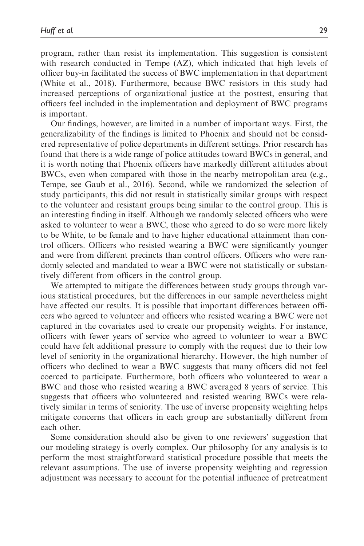program, rather than resist its implementation. This suggestion is consistent with research conducted in Tempe (AZ), which indicated that high levels of officer buy-in facilitated the success of BWC implementation in that department (White et al., 2018). Furthermore, because BWC resistors in this study had increased perceptions of organizational justice at the posttest, ensuring that officers feel included in the implementation and deployment of BWC programs is important.

Our findings, however, are limited in a number of important ways. First, the generalizability of the findings is limited to Phoenix and should not be considered representative of police departments in different settings. Prior research has found that there is a wide range of police attitudes toward BWCs in general, and it is worth noting that Phoenix officers have markedly different attitudes about BWCs, even when compared with those in the nearby metropolitan area (e.g., Tempe, see Gaub et al., 2016). Second, while we randomized the selection of study participants, this did not result in statistically similar groups with respect to the volunteer and resistant groups being similar to the control group. This is an interesting finding in itself. Although we randomly selected officers who were asked to volunteer to wear a BWC, those who agreed to do so were more likely to be White, to be female and to have higher educational attainment than control officers. Officers who resisted wearing a BWC were significantly younger and were from different precincts than control officers. Officers who were randomly selected and mandated to wear a BWC were not statistically or substantively different from officers in the control group.

We attempted to mitigate the differences between study groups through various statistical procedures, but the differences in our sample nevertheless might have affected our results. It is possible that important differences between officers who agreed to volunteer and officers who resisted wearing a BWC were not captured in the covariates used to create our propensity weights. For instance, officers with fewer years of service who agreed to volunteer to wear a BWC could have felt additional pressure to comply with the request due to their low level of seniority in the organizational hierarchy. However, the high number of officers who declined to wear a BWC suggests that many officers did not feel coerced to participate. Furthermore, both officers who volunteered to wear a BWC and those who resisted wearing a BWC averaged 8 years of service. This suggests that officers who volunteered and resisted wearing BWCs were relatively similar in terms of seniority. The use of inverse propensity weighting helps mitigate concerns that officers in each group are substantially different from each other.

Some consideration should also be given to one reviewers' suggestion that our modeling strategy is overly complex. Our philosophy for any analysis is to perform the most straightforward statistical procedure possible that meets the relevant assumptions. The use of inverse propensity weighting and regression adjustment was necessary to account for the potential influence of pretreatment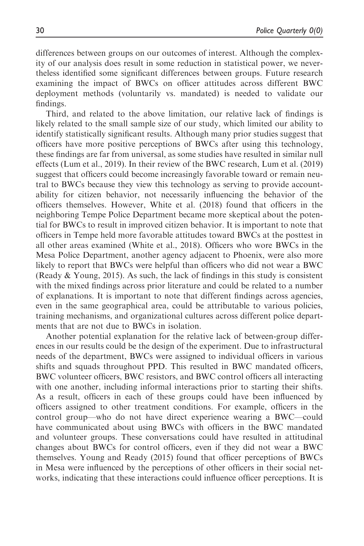differences between groups on our outcomes of interest. Although the complexity of our analysis does result in some reduction in statistical power, we nevertheless identified some significant differences between groups. Future research examining the impact of BWCs on officer attitudes across different BWC deployment methods (voluntarily vs. mandated) is needed to validate our findings.

Third, and related to the above limitation, our relative lack of findings is likely related to the small sample size of our study, which limited our ability to identify statistically significant results. Although many prior studies suggest that officers have more positive perceptions of BWCs after using this technology, these findings are far from universal, as some studies have resulted in similar null effects (Lum et al., 2019). In their review of the BWC research, Lum et al. (2019) suggest that officers could become increasingly favorable toward or remain neutral to BWCs because they view this technology as serving to provide accountability for citizen behavior, not necessarily influencing the behavior of the officers themselves. However, White et al. (2018) found that officers in the neighboring Tempe Police Department became more skeptical about the potential for BWCs to result in improved citizen behavior. It is important to note that officers in Tempe held more favorable attitudes toward BWCs at the posttest in all other areas examined (White et al., 2018). Officers who wore BWCs in the Mesa Police Department, another agency adjacent to Phoenix, were also more likely to report that BWCs were helpful than officers who did not wear a BWC (Ready & Young, 2015). As such, the lack of findings in this study is consistent with the mixed findings across prior literature and could be related to a number of explanations. It is important to note that different findings across agencies, even in the same geographical area, could be attributable to various policies, training mechanisms, and organizational cultures across different police departments that are not due to BWCs in isolation.

Another potential explanation for the relative lack of between-group differences in our results could be the design of the experiment. Due to infrastructural needs of the department, BWCs were assigned to individual officers in various shifts and squads throughout PPD. This resulted in BWC mandated officers, BWC volunteer officers, BWC resistors, and BWC control officers all interacting with one another, including informal interactions prior to starting their shifts. As a result, officers in each of these groups could have been influenced by officers assigned to other treatment conditions. For example, officers in the control group—who do not have direct experience wearing a BWC—could have communicated about using BWCs with officers in the BWC mandated and volunteer groups. These conversations could have resulted in attitudinal changes about BWCs for control officers, even if they did not wear a BWC themselves. Young and Ready (2015) found that officer perceptions of BWCs in Mesa were influenced by the perceptions of other officers in their social networks, indicating that these interactions could influence officer perceptions. It is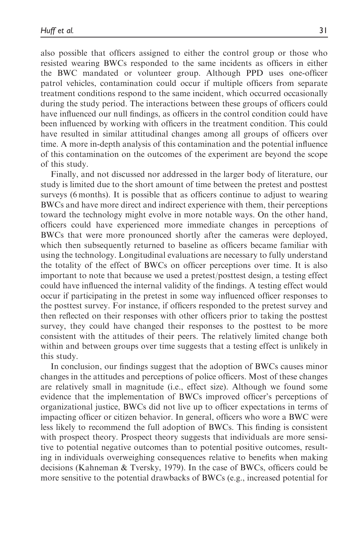also possible that officers assigned to either the control group or those who resisted wearing BWCs responded to the same incidents as officers in either the BWC mandated or volunteer group. Although PPD uses one-officer patrol vehicles, contamination could occur if multiple officers from separate treatment conditions respond to the same incident, which occurred occasionally during the study period. The interactions between these groups of officers could have influenced our null findings, as officers in the control condition could have been influenced by working with officers in the treatment condition. This could have resulted in similar attitudinal changes among all groups of officers over time. A more in-depth analysis of this contamination and the potential influence of this contamination on the outcomes of the experiment are beyond the scope of this study.

Finally, and not discussed nor addressed in the larger body of literature, our study is limited due to the short amount of time between the pretest and posttest surveys (6 months). It is possible that as officers continue to adjust to wearing BWCs and have more direct and indirect experience with them, their perceptions toward the technology might evolve in more notable ways. On the other hand, officers could have experienced more immediate changes in perceptions of BWCs that were more pronounced shortly after the cameras were deployed, which then subsequently returned to baseline as officers became familiar with using the technology. Longitudinal evaluations are necessary to fully understand the totality of the effect of BWCs on officer perceptions over time. It is also important to note that because we used a pretest/posttest design, a testing effect could have influenced the internal validity of the findings. A testing effect would occur if participating in the pretest in some way influenced officer responses to the posttest survey. For instance, if officers responded to the pretest survey and then reflected on their responses with other officers prior to taking the posttest survey, they could have changed their responses to the posttest to be more consistent with the attitudes of their peers. The relatively limited change both within and between groups over time suggests that a testing effect is unlikely in this study.

In conclusion, our findings suggest that the adoption of BWCs causes minor changes in the attitudes and perceptions of police officers. Most of these changes are relatively small in magnitude (i.e., effect size). Although we found some evidence that the implementation of BWCs improved officer's perceptions of organizational justice, BWCs did not live up to officer expectations in terms of impacting officer or citizen behavior. In general, officers who wore a BWC were less likely to recommend the full adoption of BWCs. This finding is consistent with prospect theory. Prospect theory suggests that individuals are more sensitive to potential negative outcomes than to potential positive outcomes, resulting in individuals overweighing consequences relative to benefits when making decisions (Kahneman & Tversky, 1979). In the case of BWCs, officers could be more sensitive to the potential drawbacks of BWCs (e.g., increased potential for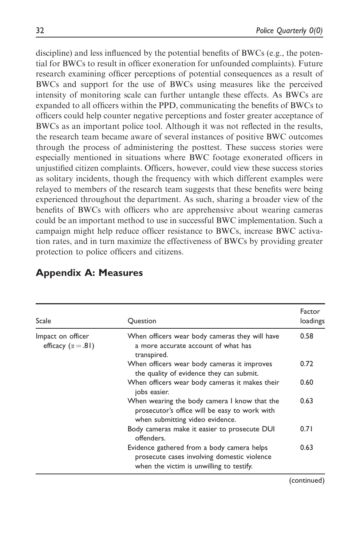discipline) and less influenced by the potential benefits of BWCs (e.g., the potential for BWCs to result in officer exoneration for unfounded complaints). Future research examining officer perceptions of potential consequences as a result of BWCs and support for the use of BWCs using measures like the perceived intensity of monitoring scale can further untangle these effects. As BWCs are expanded to all officers within the PPD, communicating the benefits of BWCs to officers could help counter negative perceptions and foster greater acceptance of BWCs as an important police tool. Although it was not reflected in the results, the research team became aware of several instances of positive BWC outcomes through the process of administering the posttest. These success stories were especially mentioned in situations where BWC footage exonerated officers in unjustified citizen complaints. Officers, however, could view these success stories as solitary incidents, though the frequency with which different examples were relayed to members of the research team suggests that these benefits were being experienced throughout the department. As such, sharing a broader view of the benefits of BWCs with officers who are apprehensive about wearing cameras could be an important method to use in successful BWC implementation. Such a campaign might help reduce officer resistance to BWCs, increase BWC activation rates, and in turn maximize the effectiveness of BWCs by providing greater protection to police officers and citizens.

| Scale                                            | Question                                                                                                                              | Factor<br>loadings |
|--------------------------------------------------|---------------------------------------------------------------------------------------------------------------------------------------|--------------------|
| Impact on officer<br>efficacy ( $\alpha = .81$ ) | When officers wear body cameras they will have<br>a more accurate account of what has<br>transpired.                                  | 0.58               |
|                                                  | When officers wear body cameras it improves<br>the quality of evidence they can submit.                                               | 0.72               |
|                                                  | When officers wear body cameras it makes their<br>jobs easier.                                                                        | 0.60               |
|                                                  | When wearing the body camera I know that the<br>prosecutor's office will be easy to work with<br>when submitting video evidence.      | 0.63               |
|                                                  | Body cameras make it easier to prosecute DUI<br>offenders.                                                                            | 0.71               |
|                                                  | Evidence gathered from a body camera helps<br>prosecute cases involving domestic violence<br>when the victim is unwilling to testify. | 0.63               |

## Appendix A: Measures

(continued)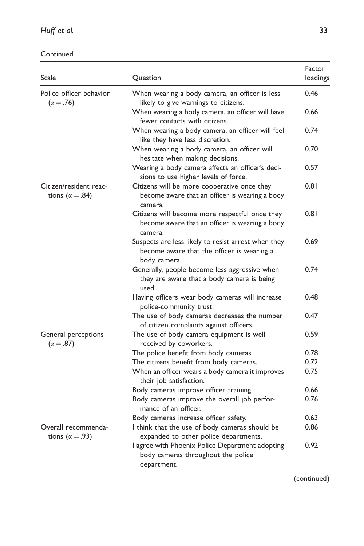Continued.

| Scale                                              | Question                                                                                                          | Factor<br>loadings |
|----------------------------------------------------|-------------------------------------------------------------------------------------------------------------------|--------------------|
| Police officer behavior<br>$(\alpha = .76)$        | When wearing a body camera, an officer is less<br>likely to give warnings to citizens.                            | 0.46               |
|                                                    | When wearing a body camera, an officer will have<br>fewer contacts with citizens.                                 | 0.66               |
|                                                    | When wearing a body camera, an officer will feel<br>like they have less discretion.                               | 0.74               |
|                                                    | When wearing a body camera, an officer will<br>hesitate when making decisions.                                    | 0.70               |
|                                                    | Wearing a body camera affects an officer's deci-<br>sions to use higher levels of force.                          | 0.57               |
| Citizen/resident reac-<br>tions ( $\alpha = .84$ ) | Citizens will be more cooperative once they<br>become aware that an officer is wearing a body<br>camera.          | 0.81               |
|                                                    | Citizens will become more respectful once they<br>become aware that an officer is wearing a body<br>camera.       | 0.81               |
|                                                    | Suspects are less likely to resist arrest when they<br>become aware that the officer is wearing a<br>body camera. | 0.69               |
|                                                    | Generally, people become less aggressive when<br>they are aware that a body camera is being<br>used.              | 0.74               |
|                                                    | Having officers wear body cameras will increase<br>police-community trust.                                        | 0.48               |
|                                                    | The use of body cameras decreases the number<br>of citizen complaints against officers.                           | 0.47               |
| General perceptions<br>$(\alpha = .87)$            | The use of body camera equipment is well<br>received by coworkers.                                                | 0.59               |
|                                                    | The police benefit from body cameras.                                                                             | 0.78               |
|                                                    | The citizens benefit from body cameras.                                                                           | 0.72               |
|                                                    | When an officer wears a body camera it improves<br>their job satisfaction.                                        | 0.75               |
|                                                    | Body cameras improve officer training.                                                                            | 0.66               |
|                                                    | Body cameras improve the overall job perfor-<br>mance of an officer.                                              | 0.76               |
|                                                    | Body cameras increase officer safety.                                                                             | 0.63               |
| Overall recommenda-<br>tions ( $\alpha = .93$ )    | I think that the use of body cameras should be<br>expanded to other police departments.                           | 0.86               |
|                                                    | I agree with Phoenix Police Department adopting<br>body cameras throughout the police<br>department.              | 0.92               |

(continued)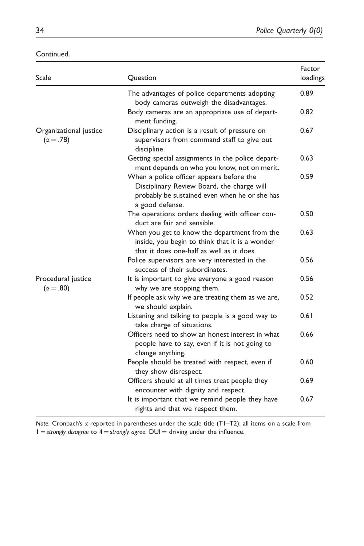| Continued. |  |  |
|------------|--|--|
|            |  |  |

| Scale                                      | Question                                                                                                                                                   | Factor<br>loadings |
|--------------------------------------------|------------------------------------------------------------------------------------------------------------------------------------------------------------|--------------------|
|                                            | The advantages of police departments adopting<br>body cameras outweigh the disadvantages.                                                                  | 0.89               |
|                                            | Body cameras are an appropriate use of depart-<br>ment funding.                                                                                            | 0.82               |
| Organizational justice<br>$(\alpha = .78)$ | Disciplinary action is a result of pressure on<br>supervisors from command staff to give out<br>discipline.                                                | 0.67               |
|                                            | Getting special assignments in the police depart-<br>ment depends on who you know, not on merit.                                                           | 0.63               |
|                                            | When a police officer appears before the<br>Disciplinary Review Board, the charge will<br>probably be sustained even when he or she has<br>a good defense. | 0.59               |
|                                            | The operations orders dealing with officer con-<br>duct are fair and sensible.                                                                             | 0.50               |
|                                            | When you get to know the department from the<br>inside, you begin to think that it is a wonder<br>that it does one-half as well as it does.                | 0.63               |
|                                            | Police supervisors are very interested in the<br>success of their subordinates.                                                                            | 0.56               |
| Procedural justice<br>$(\alpha = .80)$     | It is important to give everyone a good reason<br>why we are stopping them.                                                                                | 0.56               |
|                                            | If people ask why we are treating them as we are,<br>we should explain.                                                                                    | 0.52               |
|                                            | Listening and talking to people is a good way to<br>take charge of situations.                                                                             | 0.61               |
|                                            | Officers need to show an honest interest in what<br>people have to say, even if it is not going to<br>change anything.                                     | 0.66               |
|                                            | People should be treated with respect, even if<br>they show disrespect.                                                                                    | 0.60               |
|                                            | Officers should at all times treat people they<br>encounter with dignity and respect.                                                                      | 0.69               |
|                                            | It is important that we remind people they have<br>rights and that we respect them.                                                                        | 0.67               |

Note. Cronbach's  $\alpha$  reported in parentheses under the scale title (T1-T2); all items on a scale from  $1 =$ strongly disagree to  $4 =$ strongly agree. DUI = driving under the influence.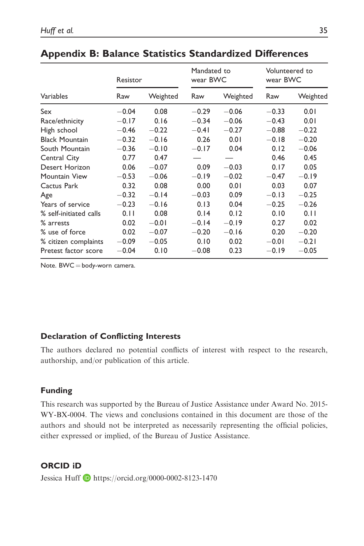|                        | Resistor |          | Mandated to<br>wear BWC |          | Volunteered to<br>wear BWC |          |
|------------------------|----------|----------|-------------------------|----------|----------------------------|----------|
| Variables              | Raw      | Weighted | Raw                     | Weighted | Raw                        | Weighted |
| Sex                    | $-0.04$  | 0.08     | $-0.29$                 | $-0.06$  | $-0.33$                    | 0.01     |
| Race/ethnicity         | $-0.17$  | 0.16     | $-0.34$                 | $-0.06$  | $-0.43$                    | 0.01     |
| High school            | $-0.46$  | $-0.22$  | $-0.41$                 | $-0.27$  | $-0.88$                    | $-0.22$  |
| <b>Black Mountain</b>  | $-0.32$  | $-0.16$  | 0.26                    | 0.01     | $-0.18$                    | $-0.20$  |
| South Mountain         | $-0.36$  | $-0.10$  | $-0.17$                 | 0.04     | 0.12                       | $-0.06$  |
| Central City           | 0.77     | 0.47     |                         |          | 0.46                       | 0.45     |
| Desert Horizon         | 0.06     | $-0.07$  | 0.09                    | $-0.03$  | 0.17                       | 0.05     |
| Mountain View          | $-0.53$  | $-0.06$  | $-0.19$                 | $-0.02$  | $-0.47$                    | $-0.19$  |
| Cactus Park            | 0.32     | 0.08     | 0.00                    | 0.01     | 0.03                       | 0.07     |
| Age                    | $-0.32$  | $-0.14$  | $-0.03$                 | 0.09     | $-0.13$                    | $-0.25$  |
| Years of service       | $-0.23$  | $-0.16$  | 0.13                    | 0.04     | $-0.25$                    | $-0.26$  |
| % self-initiated calls | 0.11     | 0.08     | 0.14                    | 0.12     | 0.10                       | 0.11     |
| % arrests              | 0.02     | $-0.01$  | $-0.14$                 | $-0.19$  | 0.27                       | 0.02     |
| % use of force         | 0.02     | $-0.07$  | $-0.20$                 | $-0.16$  | 0.20                       | $-0.20$  |
| % citizen complaints   | $-0.09$  | $-0.05$  | 0.10                    | 0.02     | $-0.01$                    | $-0.21$  |
| Pretest factor score   | $-0.04$  | 0.10     | $-0.08$                 | 0.23     | $-0.19$                    | $-0.05$  |

# Appendix B: Balance Statistics Standardized Differences

Note.  $BWC = body$ -worn camera.

### Declaration of Conflicting Interests

The authors declared no potential conflicts of interest with respect to the research, authorship, and/or publication of this article.

### Funding

This research was supported by the Bureau of Justice Assistance under Award No. 2015- WY-BX-0004. The views and conclusions contained in this document are those of the authors and should not be interpreted as necessarily representing the official policies, either expressed or implied, of the Bureau of Justice Assistance.

## ORCID iD

Jessica Huff <https://orcid.org/0000-0002-8123-1470>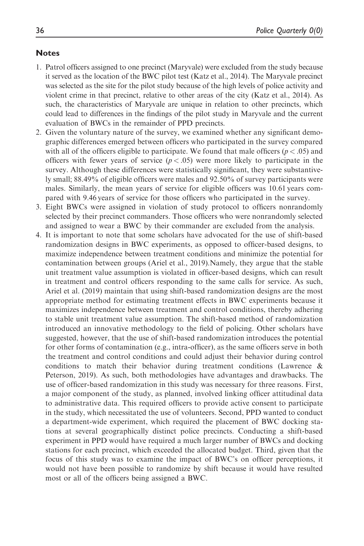#### Notes

- 1. Patrol officers assigned to one precinct (Maryvale) were excluded from the study because it served as the location of the BWC pilot test (Katz et al., 2014). The Maryvale precinct was selected as the site for the pilot study because of the high levels of police activity and violent crime in that precinct, relative to other areas of the city (Katz et al., 2014). As such, the characteristics of Maryvale are unique in relation to other precincts, which could lead to differences in the findings of the pilot study in Maryvale and the current evaluation of BWCs in the remainder of PPD precincts.
- 2. Given the voluntary nature of the survey, we examined whether any significant demographic differences emerged between officers who participated in the survey compared with all of the officers eligible to participate. We found that male officers ( $p < .05$ ) and officers with fewer years of service  $(p < .05)$  were more likely to participate in the survey. Although these differences were statistically significant, they were substantively small; 88.49% of eligible officers were males and 92.50% of survey participants were males. Similarly, the mean years of service for eligible officers was 10.61 years compared with 9.46 years of service for those officers who participated in the survey.
- 3. Eight BWCs were assigned in violation of study protocol to officers nonrandomly selected by their precinct commanders. Those officers who were nonrandomly selected and assigned to wear a BWC by their commander are excluded from the analysis.
- 4. It is important to note that some scholars have advocated for the use of shift-based randomization designs in BWC experiments, as opposed to officer-based designs, to maximize independence between treatment conditions and minimize the potential for contamination between groups (Ariel et al., 2019).Namely, they argue that the stable unit treatment value assumption is violated in officer-based designs, which can result in treatment and control officers responding to the same calls for service. As such, Ariel et al. (2019) maintain that using shift-based randomization designs are the most appropriate method for estimating treatment effects in BWC experiments because it maximizes independence between treatment and control conditions, thereby adhering to stable unit treatment value assumption. The shift-based method of randomization introduced an innovative methodology to the field of policing. Other scholars have suggested, however, that the use of shift-based randomization introduces the potential for other forms of contamination (e.g., intra-officer), as the same officers serve in both the treatment and control conditions and could adjust their behavior during control conditions to match their behavior during treatment conditions (Lawrence & Peterson, 2019). As such, both methodologies have advantages and drawbacks. The use of officer-based randomization in this study was necessary for three reasons. First, a major component of the study, as planned, involved linking officer attitudinal data to administrative data. This required officers to provide active consent to participate in the study, which necessitated the use of volunteers. Second, PPD wanted to conduct a department-wide experiment, which required the placement of BWC docking stations at several geographically distinct police precincts. Conducting a shift-based experiment in PPD would have required a much larger number of BWCs and docking stations for each precinct, which exceeded the allocated budget. Third, given that the focus of this study was to examine the impact of BWC's on officer perceptions, it would not have been possible to randomize by shift because it would have resulted most or all of the officers being assigned a BWC.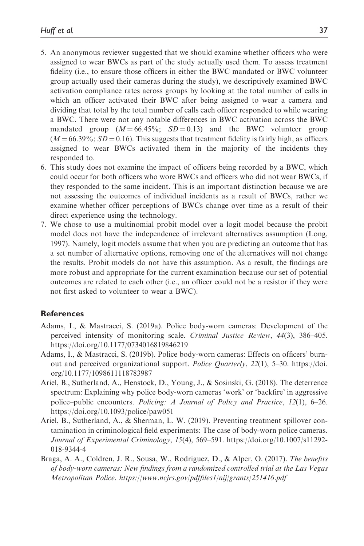- 5. An anonymous reviewer suggested that we should examine whether officers who were assigned to wear BWCs as part of the study actually used them. To assess treatment fidelity (i.e., to ensure those officers in either the BWC mandated or BWC volunteer group actually used their cameras during the study), we descriptively examined BWC activation compliance rates across groups by looking at the total number of calls in which an officer activated their BWC after being assigned to wear a camera and dividing that total by the total number of calls each officer responded to while wearing a BWC. There were not any notable differences in BWC activation across the BWC mandated group  $(M = 66.45\%; SD = 0.13)$  and the BWC volunteer group  $(M = 66.39\%; SD = 0.16)$ . This suggests that treatment fidelity is fairly high, as officers assigned to wear BWCs activated them in the majority of the incidents they responded to.
- 6. This study does not examine the impact of officers being recorded by a BWC, which could occur for both officers who wore BWCs and officers who did not wear BWCs, if they responded to the same incident. This is an important distinction because we are not assessing the outcomes of individual incidents as a result of BWCs, rather we examine whether officer perceptions of BWCs change over time as a result of their direct experience using the technology.
- 7. We chose to use a multinomial probit model over a logit model because the probit model does not have the independence of irrelevant alternatives assumption (Long, 1997). Namely, logit models assume that when you are predicting an outcome that has a set number of alternative options, removing one of the alternatives will not change the results. Probit models do not have this assumption. As a result, the findings are more robust and appropriate for the current examination because our set of potential outcomes are related to each other (i.e., an officer could not be a resistor if they were not first asked to volunteer to wear a BWC).

#### **References**

- Adams, I., & Mastracci, S. (2019a). Police body-worn cameras: Development of the perceived intensity of monitoring scale. Criminal Justice Review, 44(3), 386–405. <https://doi.org/10.1177/0734016819846219>
- Adams, I., & Mastracci, S. (2019b). Police body-worn cameras: Effects on officers' burnout and perceived organizational support. Police Quarterly, 22(1), 5–30. [https://doi.](https://doi.org/10.1177/1098611118783987) [org/10.1177/1098611118783987](https://doi.org/10.1177/1098611118783987)
- Ariel, B., Sutherland, A., Henstock, D., Young, J., & Sosinski, G. (2018). The deterrence spectrum: Explaining why police body-worn cameras 'work' or 'backfire' in aggressive police–public encounters. Policing: A Journal of Policy and Practice, 12(1), 6–26. <https://doi.org/10.1093/police/paw051>
- Ariel, B., Sutherland, A., & Sherman, L. W. (2019). Preventing treatment spillover contamination in criminological field experiments: The case of body-worn police cameras. Journal of Experimental Criminology, 15(4), 569–591. [https://doi.org/10.1007/s11292-](https://doi.org/10.1007/s11292-018-9344-4) [018-9344-4](https://doi.org/10.1007/s11292-018-9344-4)
- Braga, A. A., Coldren, J. R., Sousa, W., Rodriguez, D., & Alper, O. (2017). The benefits of body-worn cameras: New findings from a randomized controlled trial at the Las Vegas Metropolitan Police.<https://www.ncjrs.gov/pdffiles1/nij/grants/251416.pdf>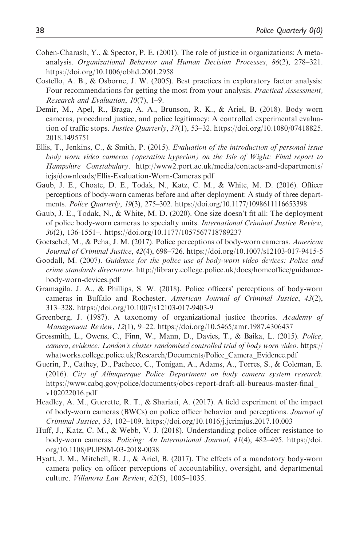- Cohen-Charash, Y., & Spector, P. E. (2001). The role of justice in organizations: A metaanalysis. Organizational Behavior and Human Decision Processes, 86(2), 278–321. <https://doi.org/10.1006/obhd.2001.2958>
- Costello, A. B., & Osborne, J. W. (2005). Best practices in exploratory factor analysis: Four recommendations for getting the most from your analysis. *Practical Assessment*, Research and Evaluation, 10(7), 1–9.
- Demir, M., Apel, R., Braga, A. A., Brunson, R. K., & Ariel, B. (2018). Body worn cameras, procedural justice, and police legitimacy: A controlled experimental evaluation of traffic stops. Justice Quarterly,  $37(1)$ ,  $53-32$ . [https://doi.org/10.1080/07418825.](https://doi.org/10.1080/07418825.2018.1495751) [2018.1495751](https://doi.org/10.1080/07418825.2018.1495751)
- Ellis, T., Jenkins, C., & Smith, P. (2015). *Evaluation of the introduction of personal issue* body worn video cameras (operation hyperion) on the Isle of Wight: Final report to Hampshire Constabulary. [http://www2.port.ac.uk/media/contacts-and-departments/](http://www2.port.ac.uk/media/contacts-and-departments/icjs/downloads/Ellis-Evaluation-Worn-Cameras.pdf) [icjs/downloads/Ellis-Evaluation-Worn-Cameras.pdf](http://www2.port.ac.uk/media/contacts-and-departments/icjs/downloads/Ellis-Evaluation-Worn-Cameras.pdf)
- Gaub, J. E., Choate, D. E., Todak, N., Katz, C. M., & White, M. D. (2016). Officer perceptions of body-worn cameras before and after deployment: A study of three departments. Police Quarterly, 19(3), 275–302.<https://doi.org/10.1177/1098611116653398>
- Gaub, J. E., Todak, N., & White, M. D. (2020). One size doesn't fit all: The deployment of police body-worn cameras to specialty units. International Criminal Justice Review, 30(2), 136-1551–.<https://doi.org/10.1177/1057567718789237>
- Goetschel, M., & Peha, J. M. (2017). Police perceptions of body-worn cameras. American Journal of Criminal Justice, 42(4), 698–726.<https://doi.org/10.1007/s12103-017-9415-5>
- Goodall, M. (2007). Guidance for the police use of body-worn video devices: Police and crime standards directorate. [http://library.college.police.uk/docs/homeoffice/guidance](http://library.college.police.uk/docs/homeoffice/guidance-body-worn-devices.pdf)[body-worn-devices.pdf](http://library.college.police.uk/docs/homeoffice/guidance-body-worn-devices.pdf)
- Gramagila, J. A., & Phillips, S. W. (2018). Police officers' perceptions of body-worn cameras in Buffalo and Rochester. American Journal of Criminal Justice, 43(2), 313–328.<https://doi.org/10.1007/s12103-017-9403-9>
- Greenberg, J. (1987). A taxonomy of organizational justice theories. Academy of Management Review, 12(1), 9–22.<https://doi.org/10.5465/amr.1987.4306437>
- Grossmith, L., Owens, C., Finn, W., Mann, D., Davies, T., & Baika, L. (2015). Police, camera, evidence: London's cluster randomised controlled trial of body worn video. [https://](https://whatworks.college.police.uk/Research/Documents/Police_Camera_Evidence.pdf) [whatworks.college.police.uk/Research/Documents/Police\\_Camera\\_Evidence.pdf](https://whatworks.college.police.uk/Research/Documents/Police_Camera_Evidence.pdf)
- Guerin, P., Cathey, D., Pacheco, C., Tonigan, A., Adams, A., Torres, S., & Coleman, E. (2016). City of Albuquerque Police Department on body camera system research. [https://www.cabq.gov/police/documents/obcs-report-draft-all-bureaus-master-final\\_](https://www.cabq.gov/police/documents/obcs-report-draft-all-bureaus-master-final_v102022016.pdf) [v102022016.pdf](https://www.cabq.gov/police/documents/obcs-report-draft-all-bureaus-master-final_v102022016.pdf)
- Headley, A. M., Guerette, R. T., & Shariati, A. (2017). A field experiment of the impact of body-worn cameras (BWCs) on police officer behavior and perceptions. Journal of Criminal Justice, 53, 102–109.<https://doi.org/10.1016/j.jcrimjus.2017.10.003>
- Huff, J., Katz, C. M., & Webb, V. J. (2018). Understanding police officer resistance to body-worn cameras. Policing: An International Journal, 41(4), 482–495. [https://doi.](https://doi.org/10.1108/PIJPSM-03-2018-0038) [org/10.1108/PIJPSM-03-2018-0038](https://doi.org/10.1108/PIJPSM-03-2018-0038)
- Hyatt, J. M., Mitchell, R. J., & Ariel, B. (2017). The effects of a mandatory body-worn camera policy on officer perceptions of accountability, oversight, and departmental culture. Villanova Law Review, 62(5), 1005-1035.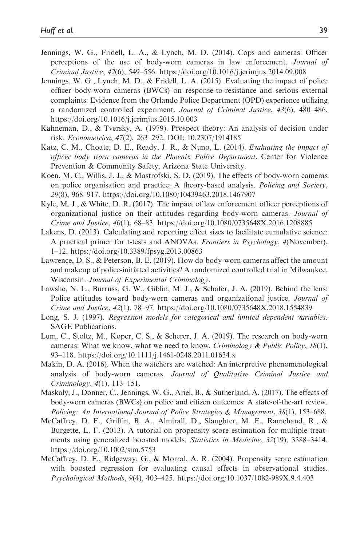- Jennings, W. G., Fridell, L. A., & Lynch, M. D. (2014). Cops and cameras: Officer perceptions of the use of body-worn cameras in law enforcement. Journal of Criminal Justice, 42(6), 549–556.<https://doi.org/10.1016/j.jcrimjus.2014.09.008>
- Jennings, W. G., Lynch, M. D., & Fridell, L. A. (2015). Evaluating the impact of police officer body-worn cameras (BWCs) on response-to-resistance and serious external complaints: Evidence from the Orlando Police Department (OPD) experience utilizing a randomized controlled experiment. Journal of Criminal Justice, 43(6), 480–486. <https://doi.org/10.1016/j.jcrimjus.2015.10.003>
- Kahneman, D., & Tversky, A. (1979). Prospect theory: An analysis of decision under risk. Econometrica, 47(2), 263–292. [DOI: 10.2307/1914185](http://www.jstor.org/stable/1914185%5Cnhttp://www.jstor.org/%5Cnhttp://www.jstor.org/action/showPublisher?publisherCode=econosoc.%5Cnhttp://www.jstor.org)
- Katz, C. M., Choate, D. E., Ready, J. R., & Nuno, L. (2014). Evaluating the impact of officer body worn cameras in the Phoenix Police Department. Center for Violence Prevention & Community Safety, Arizona State University.
- Koen, M. C., Willis, J. J., & Mastrofski, S. D. (2019). The effects of body-worn cameras on police organisation and practice: A theory-based analysis. Policing and Society, 29(8), 968–917.<https://doi.org/10.1080/10439463.2018.1467907>
- Kyle, M. J., & White, D. R. (2017). The impact of law enforcement officer perceptions of organizational justice on their attitudes regarding body-worn cameras. Journal of Crime and Justice, 40(1), 68–83.<https://doi.org/10.1080/0735648X.2016.1208885>
- Lakens, D. (2013). Calculating and reporting effect sizes to facilitate cumulative science: A practical primer for t-tests and ANOVAs. Frontiers in Psychology, 4(November), 1–12.<https://doi.org/10.3389/fpsyg.2013.00863>
- Lawrence, D. S., & Peterson, B. E. (2019). How do body-worn cameras affect the amount and makeup of police-initiated activities? A randomized controlled trial in Milwaukee, Wisconsin. Journal of Experimental Criminology.
- Lawshe, N. L., Burruss, G. W., Giblin, M. J., & Schafer, J. A. (2019). Behind the lens: Police attitudes toward body-worn cameras and organizational justice. Journal of Crime and Justice, 42(1), 78–97.<https://doi.org/10.1080/0735648X.2018.1554839>
- Long, S. J. (1997). Regression models for categorical and limited dependent variables. SAGE Publications.
- Lum, C., Stoltz, M., Koper, C. S., & Scherer, J. A. (2019). The research on body-worn cameras: What we know, what we need to know. Criminology & Public Policy, 18(1), 93–118.<https://doi.org/10.1111/j.1461-0248.2011.01634.x>
- Makin, D. A. (2016). When the watchers are watched: An interpretive phenomenological analysis of body-worn cameras. Journal of Qualitative Criminal Justice and Criminology, 4(1), 113–151.
- Maskaly, J., Donner, C., Jennings, W. G., Ariel, B., & Sutherland, A. (2017). The effects of body-worn cameras (BWCs) on police and citizen outcomes: A state-of-the-art review. Policing: An International Journal of Police Strategies & Management, 38(1), 153–688.
- McCaffrey, D. F., Griffin, B. A., Almirall, D., Slaughter, M. E., Ramchand, R., & Burgette, L. F. (2013). A tutorial on propensity score estimation for multiple treatments using generalized boosted models. Statistics in Medicine, 32(19), 3388–3414. <https://doi.org/10.1002/sim.5753>
- McCaffrey, D. F., Ridgeway, G., & Morral, A. R. (2004). Propensity score estimation with boosted regression for evaluating causal effects in observational studies. Psychological Methods, 9(4), 403–425.<https://doi.org/10.1037/1082-989X.9.4.403>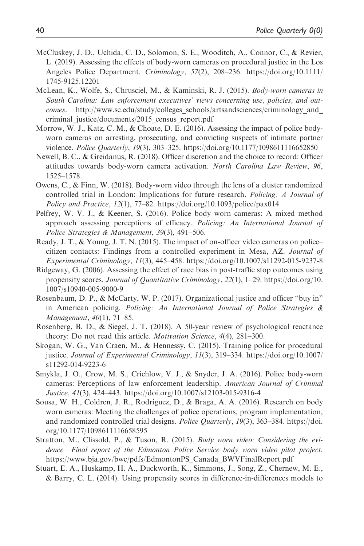- McCluskey, J. D., Uchida, C. D., Solomon, S. E., Wooditch, A., Connor, C., & Revier, L. (2019). Assessing the effects of body-worn cameras on procedural justice in the Los Angeles Police Department. Criminology, 57(2), 208–236. [https://doi.org/10.1111/](https://doi.org/10.1111/1745-9125.12201) [1745-9125.12201](https://doi.org/10.1111/1745-9125.12201)
- McLean, K., Wolfe, S., Chrusciel, M., & Kaminski, R. J. (2015). Body-worn cameras in South Carolina: Law enforcement executives' views concerning use, policies, and outcomes. http://www.sc.edu/study/colleges\_schools/artsandsciences/criminology\_and [criminal\\_justice/documents/2015\\_census\\_report.pdf](http://www.sc.edu/study/colleges_schools/artsandsciences/criminology_and_criminal_justice/documents/2015_census_report.pdf)
- Morrow, W. J., Katz, C. M., & Choate, D. E. (2016). Assessing the impact of police bodyworn cameras on arresting, prosecuting, and convicting suspects of intimate partner violence. Police Quarterly, 19(3), 303–325.<https://doi.org/10.1177/1098611116652850>
- Newell, B. C., & Greidanus, R. (2018). Officer discretion and the choice to record: Officer attitudes towards body-worn camera activation. North Carolina Law Review, 96, 1525–1578.
- Owens, C., & Finn, W. (2018). Body-worn video through the lens of a cluster randomized controlled trial in London: Implications for future research. Policing: A Journal of Policy and Practice, 12(1), 77–82.<https://doi.org/10.1093/police/pax014>
- Pelfrey, W. V. J., & Keener, S. (2016). Police body worn cameras: A mixed method approach assessing perceptions of efficacy. Policing: An International Journal of Police Strategies & Management, 39(3), 491–506.
- Ready, J. T., & Young, J. T. N. (2015). The impact of on-officer video cameras on police– citizen contacts: Findings from a controlled experiment in Mesa, AZ. Journal of Experimental Criminology, 11(3), 445–458.<https://doi.org/10.1007/s11292-015-9237-8>
- Ridgeway, G. (2006). Assessing the effect of race bias in post-traffic stop outcomes using propensity scores. Journal of Quantitative Criminology, 22(1), 1-29. [https://doi.org/10.](https://doi.org/10.1007/s10940-005-9000-9) [1007/s10940-005-9000-9](https://doi.org/10.1007/s10940-005-9000-9)
- Rosenbaum, D. P., & McCarty, W. P. (2017). Organizational justice and officer "buy in" in American policing. *Policing: An International Journal of Police Strategies*  $\&$ Management, 40(1), 71–85.
- Rosenberg, B. D., & Siegel, J. T. (2018). A 50-year review of psychological reactance theory: Do not read this article. Motivation Science, 4(4), 281–300.
- Skogan, W. G., Van Craen, M., & Hennessy, C. (2015). Training police for procedural justice. Journal of Experimental Criminology, 11(3), 319–334. [https://doi.org/10.1007/](https://doi.org/10.1007/s11292-014-9223-6) [s11292-014-9223-6](https://doi.org/10.1007/s11292-014-9223-6)
- Smykla, J. O., Crow, M. S., Crichlow, V. J., & Snyder, J. A. (2016). Police body-worn cameras: Perceptions of law enforcement leadership. American Journal of Criminal Justice, 41(3), 424–443.<https://doi.org/10.1007/s12103-015-9316-4>
- Sousa, W. H., Coldren, J. R., Rodriguez, D., & Braga, A. A. (2016). Research on body worn cameras: Meeting the challenges of police operations, program implementation, and randomized controlled trial designs. Police Quarterly, 19(3), 363–384. [https://doi.](https://doi.org/10.1177/1098611116658595) [org/10.1177/1098611116658595](https://doi.org/10.1177/1098611116658595)
- Stratton, M., Clissold, P., & Tuson, R. (2015). Body worn video: Considering the evidence—Final report of the Edmonton Police Service body worn video pilot project. [https://www.bja.gov/bwc/pdfs/EdmontonPS\\_Canada\\_BWVFinalReport.pdf](https://www.bja.gov/bwc/pdfs/EdmontonPS_Canada_BWVFinalReport.pdf)
- Stuart, E. A., Huskamp, H. A., Duckworth, K., Simmons, J., Song, Z., Chernew, M. E., & Barry, C. L. (2014). Using propensity scores in difference-in-differences models to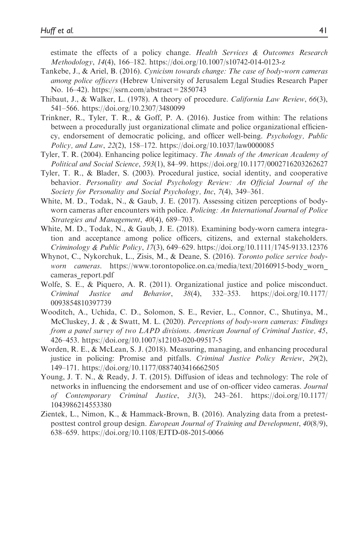estimate the effects of a policy change. Health Services & Outcomes Research Methodology, 14(4), 166–182.<https://doi.org/10.1007/s10742-014-0123-z>

- Tankebe, J., & Ariel, B. (2016). Cynicism towards change: The case of body-worn cameras among police officers (Hebrew University of Jerusalem Legal Studies Research Paper No. 16–42).<https://ssrn.com/abstract=2850743>
- Thibaut, J., & Walker, L. (1978). A theory of procedure. California Law Review, 66(3), 541–566.<https://doi.org/10.2307/3480099>
- Trinkner, R., Tyler, T. R., & Goff, P. A. (2016). Justice from within: The relations between a procedurally just organizational climate and police organizational efficiency, endorsement of democratic policing, and officer well-being. Psychology, Public Policy, and Law, 22(2), 158–172.<https://doi.org/10.1037/law0000085>
- Tyler, T. R. (2004). Enhancing police legitimacy. The Annals of the American Academy of Political and Social Science, 593(1), 84–99.<https://doi.org/10.1177/0002716203262627>
- Tyler, T. R., & Blader, S. (2003). Procedural justice, social identity, and cooperative behavior. Personality and Social Psychology Review: An Official Journal of the Society for Personality and Social Psychology, Inc, 7(4), 349-361.
- White, M. D., Todak, N., & Gaub, J. E. (2017). Assessing citizen perceptions of bodyworn cameras after encounters with police. Policing: An International Journal of Police Strategies and Management, 40(4), 689–703.
- White, M. D., Todak, N., & Gaub, J. E. (2018). Examining body-worn camera integration and acceptance among police officers, citizens, and external stakeholders. Criminology & Public Policy, 17(3), 649–629.<https://doi.org/10.1111/1745-9133.12376>
- Whynot, C., Nykorchuk, L., Zisis, M., & Deane, S. (2016). Toronto police service bodyworn cameras. https://www.torontopolice.on.ca/media/text/20160915-body worn cameras report.pdf
- Wolfe, S. E., & Piquero, A. R. (2011). Organizational justice and police misconduct. Criminal Justice and Behavior, 38(4), 332–353. [https://doi.org/10.1177/](https://doi.org/10.1177/0093854810397739) [0093854810397739](https://doi.org/10.1177/0093854810397739)
- Wooditch, A., Uchida, C. D., Solomon, S. E., Revier, L., Connor, C., Shutinya, M., McCluskey, J.  $\&$ ,  $\&$  Swatt, M. L. (2020). Perceptions of body-worn cameras: Findings from a panel survey of two LAPD divisions. American Journal of Criminal Justice, 45, 426–453.<https://doi.org/10.1007/s12103-020-09517-5>
- Worden, R. E., & McLean, S. J. (2018). Measuring, managing, and enhancing procedural justice in policing: Promise and pitfalls. Criminal Justice Policy Review, 29(2), 149–171.<https://doi.org/10.1177/0887403416662505>
- Young, J. T. N., & Ready, J. T. (2015). Diffusion of ideas and technology: The role of networks in influencing the endorsement and use of on-officer video cameras. Journal of Contemporary Criminal Justice, 31(3), 243–261. [https://doi.org/10.1177/](https://doi.org/10.1177/1043986214553380) [1043986214553380](https://doi.org/10.1177/1043986214553380)
- Zientek, L., Nimon, K., & Hammack-Brown, B. (2016). Analyzing data from a pretestposttest control group design. European Journal of Training and Development, 40(8/9), 638–659.<https://doi.org/10.1108/EJTD-08-2015-0066>